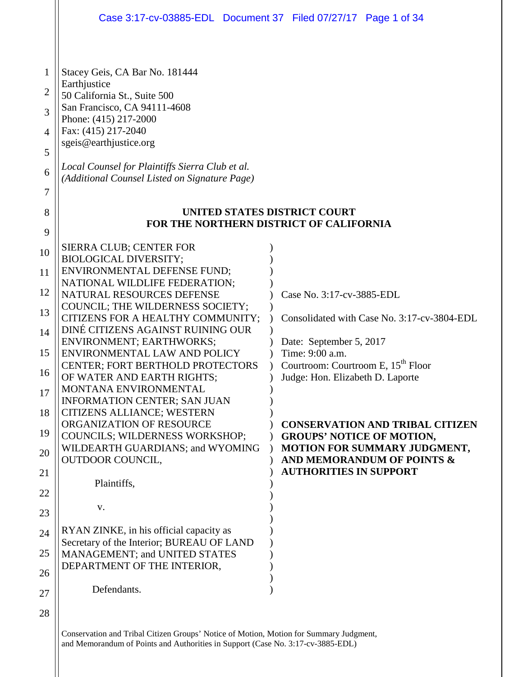|                                                   | Case 3:17-cv-03885-EDL Document 37 Filed 07/27/17 Page 1 of 34                                                                                                                                                                                                                                                                                                          |                                                                                    |
|---------------------------------------------------|-------------------------------------------------------------------------------------------------------------------------------------------------------------------------------------------------------------------------------------------------------------------------------------------------------------------------------------------------------------------------|------------------------------------------------------------------------------------|
| 1<br>2<br>3<br>$\overline{4}$<br>5<br>6<br>7<br>8 | Stacey Geis, CA Bar No. 181444<br>Earthjustice<br>50 California St., Suite 500<br>San Francisco, CA 94111-4608<br>Phone: (415) 217-2000<br>Fax: (415) 217-2040<br>sgeis@earthjustice.org<br>Local Counsel for Plaintiffs Sierra Club et al.<br>(Additional Counsel Listed on Signature Page)<br>UNITED STATES DISTRICT COURT<br>FOR THE NORTHERN DISTRICT OF CALIFORNIA |                                                                                    |
| 9<br>10                                           | SIERRA CLUB; CENTER FOR                                                                                                                                                                                                                                                                                                                                                 |                                                                                    |
| 11                                                | <b>BIOLOGICAL DIVERSITY;</b><br>ENVIRONMENTAL DEFENSE FUND;                                                                                                                                                                                                                                                                                                             |                                                                                    |
| 12                                                | NATIONAL WILDLIFE FEDERATION;<br>NATURAL RESOURCES DEFENSE                                                                                                                                                                                                                                                                                                              | Case No. 3:17-cv-3885-EDL                                                          |
| 13                                                | COUNCIL; THE WILDERNESS SOCIETY;<br>CITIZENS FOR A HEALTHY COMMUNITY;                                                                                                                                                                                                                                                                                                   | Consolidated with Case No. 3:17-cv-3804-EDL                                        |
| 14                                                | DINÉ CITIZENS AGAINST RUINING OUR<br><b>ENVIRONMENT; EARTHWORKS;</b>                                                                                                                                                                                                                                                                                                    |                                                                                    |
| 15                                                | ENVIRONMENTAL LAW AND POLICY                                                                                                                                                                                                                                                                                                                                            | Date: September 5, 2017<br>Time: 9:00 a.m.                                         |
| 16                                                | <b>CENTER; FORT BERTHOLD PROTECTORS</b><br>OF WATER AND EARTH RIGHTS;                                                                                                                                                                                                                                                                                                   | Courtroom: Courtroom E, 15 <sup>th</sup> Floor<br>Judge: Hon. Elizabeth D. Laporte |
| 17                                                | MONTANA ENVIRONMENTAL<br><b>INFORMATION CENTER; SAN JUAN</b>                                                                                                                                                                                                                                                                                                            |                                                                                    |
| 18                                                | CITIZENS ALLIANCE; WESTERN<br>ORGANIZATION OF RESOURCE                                                                                                                                                                                                                                                                                                                  | <b>CONSERVATION AND TRIBAL CITIZEN</b>                                             |
| 19                                                | COUNCILS; WILDERNESS WORKSHOP;<br>WILDEARTH GUARDIANS; and WYOMING                                                                                                                                                                                                                                                                                                      | <b>GROUPS' NOTICE OF MOTION,</b><br><b>MOTION FOR SUMMARY JUDGMENT,</b>            |
| 20                                                | <b>OUTDOOR COUNCIL,</b>                                                                                                                                                                                                                                                                                                                                                 | AND MEMORANDUM OF POINTS &<br><b>AUTHORITIES IN SUPPORT</b>                        |
| 21                                                | Plaintiffs,                                                                                                                                                                                                                                                                                                                                                             |                                                                                    |
| 22<br>23                                          | V.                                                                                                                                                                                                                                                                                                                                                                      |                                                                                    |
| 24                                                | RYAN ZINKE, in his official capacity as                                                                                                                                                                                                                                                                                                                                 |                                                                                    |
| 25                                                | Secretary of the Interior; BUREAU OF LAND<br>MANAGEMENT; and UNITED STATES                                                                                                                                                                                                                                                                                              |                                                                                    |
| 26                                                | DEPARTMENT OF THE INTERIOR,                                                                                                                                                                                                                                                                                                                                             |                                                                                    |
| 27                                                | Defendants.                                                                                                                                                                                                                                                                                                                                                             |                                                                                    |
| 28                                                |                                                                                                                                                                                                                                                                                                                                                                         |                                                                                    |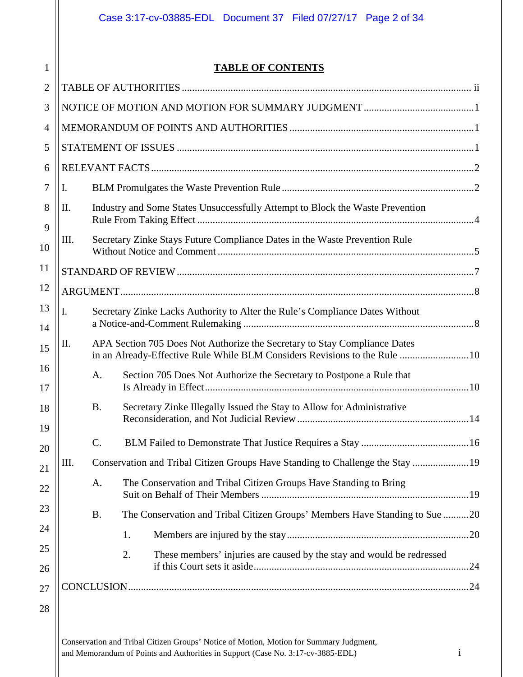# **TABLE OF CONTENTS**

1

| $\overline{2}$ |      |                 |                                                                                                                                                        |  |
|----------------|------|-----------------|--------------------------------------------------------------------------------------------------------------------------------------------------------|--|
| 3              |      |                 |                                                                                                                                                        |  |
| $\overline{4}$ |      |                 |                                                                                                                                                        |  |
| 5              |      |                 |                                                                                                                                                        |  |
| 6              |      |                 |                                                                                                                                                        |  |
| 7              | Ι.   |                 |                                                                                                                                                        |  |
| 8<br>9         | II.  |                 | Industry and Some States Unsuccessfully Attempt to Block the Waste Prevention                                                                          |  |
| 10             | III. |                 | Secretary Zinke Stays Future Compliance Dates in the Waste Prevention Rule                                                                             |  |
| 11             |      |                 |                                                                                                                                                        |  |
| 12             |      |                 |                                                                                                                                                        |  |
| 13<br>14       | I.   |                 | Secretary Zinke Lacks Authority to Alter the Rule's Compliance Dates Without                                                                           |  |
| 15             | П.   |                 | APA Section 705 Does Not Authorize the Secretary to Stay Compliance Dates<br>in an Already-Effective Rule While BLM Considers Revisions to the Rule 10 |  |
| 16<br>17       |      | A.              | Section 705 Does Not Authorize the Secretary to Postpone a Rule that                                                                                   |  |
| 18             |      | <b>B.</b>       | Secretary Zinke Illegally Issued the Stay to Allow for Administrative                                                                                  |  |
| 19<br>20       |      | $\mathcal{C}$ . |                                                                                                                                                        |  |
| 21             | III. |                 | Conservation and Tribal Citizen Groups Have Standing to Challenge the Stay  19                                                                         |  |
| 22             |      | A.              | The Conservation and Tribal Citizen Groups Have Standing to Bring                                                                                      |  |
| 23             |      | <b>B.</b>       | The Conservation and Tribal Citizen Groups' Members Have Standing to Sue 20                                                                            |  |
| 24             |      |                 | 1.                                                                                                                                                     |  |
| 25             |      |                 | 2.<br>These members' injuries are caused by the stay and would be redressed                                                                            |  |
| 26             |      |                 |                                                                                                                                                        |  |
| 27             |      |                 |                                                                                                                                                        |  |
| 28             |      |                 |                                                                                                                                                        |  |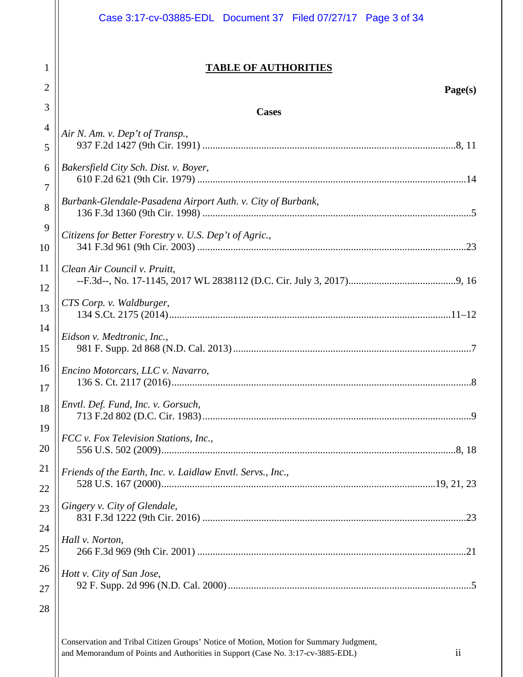|                | Case 3:17-cv-03885-EDL Document 37 Filed 07/27/17 Page 3 of 34 |
|----------------|----------------------------------------------------------------|
| 1              | <b>TABLE OF AUTHORITIES</b>                                    |
| $\overline{2}$ | Page(s)                                                        |
| 3              | <b>Cases</b>                                                   |
| $\overline{4}$ | Air N. Am. v. Dep't of Transp.,                                |
| 5              |                                                                |
| 6              | Bakersfield City Sch. Dist. v. Boyer,                          |
| 7              | Burbank-Glendale-Pasadena Airport Auth. v. City of Burbank,    |
| 8              |                                                                |
| 9              | Citizens for Better Forestry v. U.S. Dep't of Agric.,          |
| 10             |                                                                |
| 11             | Clean Air Council v. Pruitt,                                   |
| 12             | CTS Corp. v. Waldburger,                                       |
| 13             |                                                                |
| 14<br>15       | Eidson v. Medtronic, Inc.,                                     |
| 16             | Encino Motorcars, LLC v. Navarro,                              |
| 17             | 136 S. Ct. 2117 (2016)<br>.8                                   |
| 18             | Envtl. Def. Fund, Inc. v. Gorsuch,                             |
| 19             | FCC v. Fox Television Stations, Inc.,                          |
| 20             |                                                                |
| 21             | Friends of the Earth, Inc. v. Laidlaw Envtl. Servs., Inc.,     |
| 22             |                                                                |
| 23             | Gingery v. City of Glendale,                                   |
| 24             |                                                                |
| 25             | Hall v. Norton,                                                |
| 26             | Hott v. City of San Jose,                                      |
| 27             |                                                                |
| 28             |                                                                |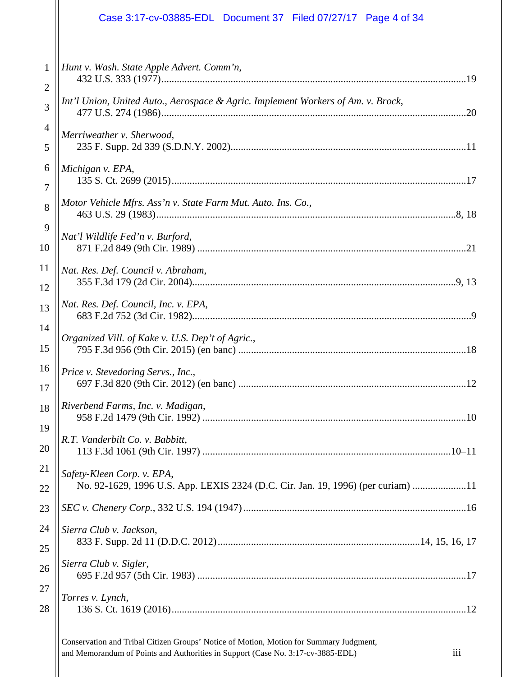|                | Case 3:17-cv-03885-EDL Document 37 Filed 07/27/17 Page 4 of 34                   |
|----------------|----------------------------------------------------------------------------------|
| $\mathbf{1}$   | Hunt v. Wash. State Apple Advert. Comm'n,                                        |
| $\overline{2}$ | Int'l Union, United Auto., Aerospace & Agric. Implement Workers of Am. v. Brock, |
| 3              |                                                                                  |
| $\overline{4}$ | Merriweather v. Sherwood,                                                        |
| 5              |                                                                                  |
| 6              | Michigan v. EPA,                                                                 |
| 7              |                                                                                  |
| 8              | Motor Vehicle Mfrs. Ass'n v. State Farm Mut. Auto. Ins. Co.,                     |
| 9              | Nat'l Wildlife Fed'n v. Burford,                                                 |
| 10             |                                                                                  |
| 11             | Nat. Res. Def. Council v. Abraham,                                               |
| 12             |                                                                                  |
| 13             | Nat. Res. Def. Council, Inc. v. EPA,                                             |
| 14             | Organized Vill. of Kake v. U.S. Dep't of Agric.,                                 |
| 15             |                                                                                  |
| 16             | Price v. Stevedoring Servs., Inc.,                                               |
| 17             |                                                                                  |
| 18             | Riverbend Farms, Inc. v. Madigan,                                                |
| 19             |                                                                                  |
| 20             | R.T. Vanderbilt Co. v. Babbitt,                                                  |
| 21             | Safety-Kleen Corp. v. EPA,                                                       |
| 22             | No. 92-1629, 1996 U.S. App. LEXIS 2324 (D.C. Cir. Jan. 19, 1996) (per curiam) 11 |
| 23             |                                                                                  |
| 24             | Sierra Club v. Jackson,                                                          |
| 25             |                                                                                  |
| 26             | Sierra Club v. Sigler,                                                           |
| 27             | Torres v. Lynch,                                                                 |
| 28             |                                                                                  |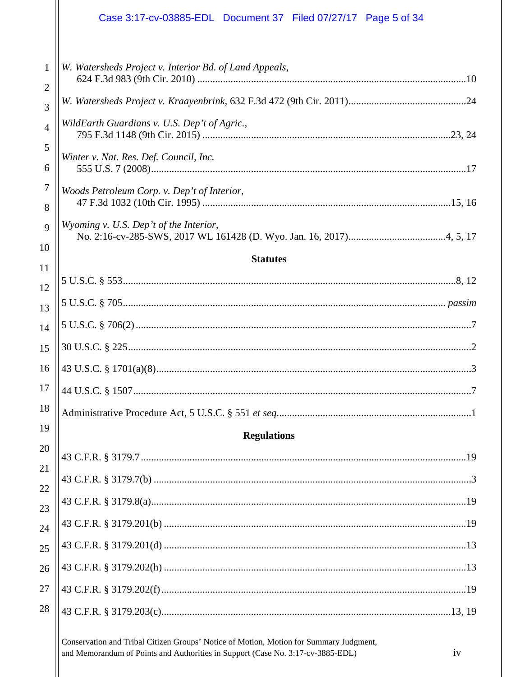|                     | Case 3:17-cv-03885-EDL Document 37 Filed 07/27/17 Page 5 of 34 |
|---------------------|----------------------------------------------------------------|
| 1<br>$\overline{2}$ | W. Watersheds Project v. Interior Bd. of Land Appeals,         |
| 3                   |                                                                |
| $\overline{4}$      | WildEarth Guardians v. U.S. Dep't of Agric.,                   |
| 5<br>6              | Winter v. Nat. Res. Def. Council, Inc.                         |
| 7<br>8              | Woods Petroleum Corp. v. Dep't of Interior,                    |
| 9                   | Wyoming v. U.S. Dep't of the Interior,                         |
| 10<br>11            | <b>Statutes</b>                                                |
| 12                  |                                                                |
| 13                  |                                                                |
| 14                  |                                                                |
| 15                  |                                                                |
| 16                  |                                                                |
| 17                  |                                                                |
| 18                  |                                                                |
| 19                  | <b>Regulations</b>                                             |
| 20                  |                                                                |
| 21                  |                                                                |
| 22<br>23            |                                                                |
| 24                  |                                                                |
| 25                  |                                                                |
| 26                  |                                                                |
| 27                  |                                                                |
| 28                  |                                                                |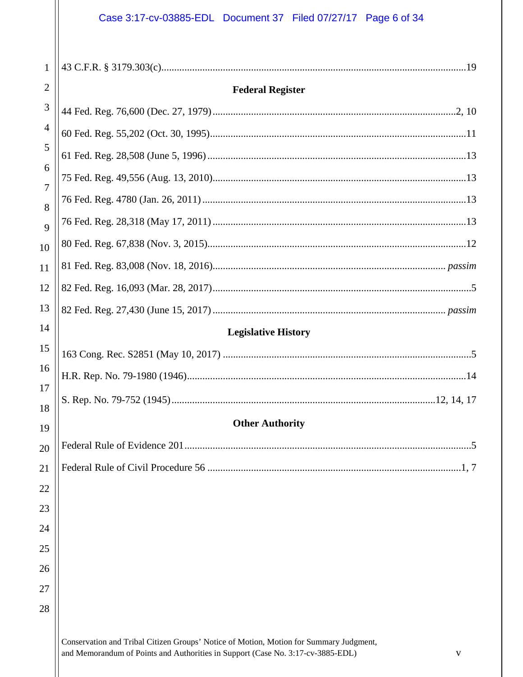# Case 3:17-cv-03885-EDL Document 37 Filed 07/27/17 Page 6 of 34

| 1                   |                            |
|---------------------|----------------------------|
| $\overline{2}$      | <b>Federal Register</b>    |
| 3                   |                            |
| 4                   |                            |
| 5                   |                            |
| 6                   |                            |
| $\overline{7}$<br>8 |                            |
| 9                   |                            |
| 10                  |                            |
| 11                  |                            |
| 12                  |                            |
| 13                  |                            |
| 14                  | <b>Legislative History</b> |
| 15                  |                            |
| 16                  |                            |
| 17                  |                            |
| 18                  | <b>Other Authority</b>     |
| 19                  |                            |
| 20<br>21            |                            |
| 22                  |                            |
| 23                  |                            |
| 24                  |                            |
| 25                  |                            |
| 26                  |                            |
| 27                  |                            |
| 28                  |                            |
|                     |                            |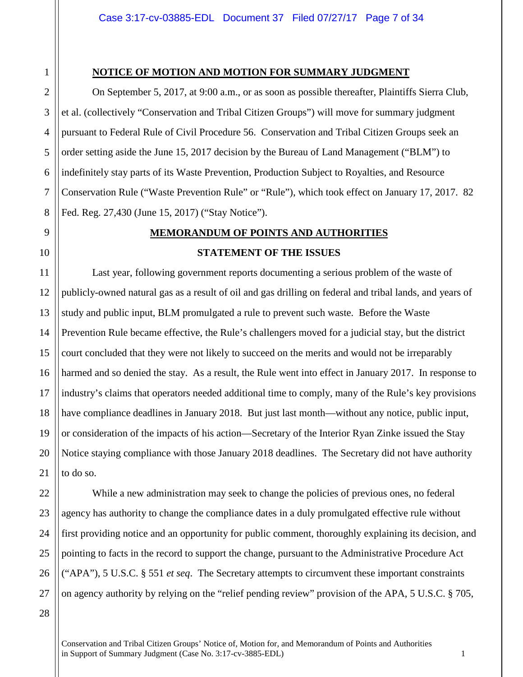1 2 3

4

5

6

7

8

9

10

11

12

13

17

18

19

21

22

23

24

25

## **NOTICE OF MOTION AND MOTION FOR SUMMARY JUDGMENT**

On September 5, 2017, at 9:00 a.m., or as soon as possible thereafter, Plaintiffs Sierra Club, et al. (collectively "Conservation and Tribal Citizen Groups") will move for summary judgment pursuant to Federal Rule of Civil Procedure 56. Conservation and Tribal Citizen Groups seek an order setting aside the June 15, 2017 decision by the Bureau of Land Management ("BLM") to indefinitely stay parts of its Waste Prevention, Production Subject to Royalties, and Resource Conservation Rule ("Waste Prevention Rule" or "Rule"), which took effect on January 17, 2017. 82 Fed. Reg. 27,430 (June 15, 2017) ("Stay Notice").

# **MEMORANDUM OF POINTS AND AUTHORITIES**

#### **STATEMENT OF THE ISSUES**

14 15 16 20 Last year, following government reports documenting a serious problem of the waste of publicly-owned natural gas as a result of oil and gas drilling on federal and tribal lands, and years of study and public input, BLM promulgated a rule to prevent such waste. Before the Waste Prevention Rule became effective, the Rule's challengers moved for a judicial stay, but the district court concluded that they were not likely to succeed on the merits and would not be irreparably harmed and so denied the stay. As a result, the Rule went into effect in January 2017. In response to industry's claims that operators needed additional time to comply, many of the Rule's key provisions have compliance deadlines in January 2018. But just last month—without any notice, public input, or consideration of the impacts of his action—Secretary of the Interior Ryan Zinke issued the Stay Notice staying compliance with those January 2018 deadlines. The Secretary did not have authority to do so.

While a new administration may seek to change the policies of previous ones, no federal agency has authority to change the compliance dates in a duly promulgated effective rule without first providing notice and an opportunity for public comment, thoroughly explaining its decision, and pointing to facts in the record to support the change, pursuant to the Administrative Procedure Act ("APA"), 5 U.S.C. § 551 *et seq*. The Secretary attempts to circumvent these important constraints on agency authority by relying on the "relief pending review" provision of the APA, 5 U.S.C. § 705,

26 27 28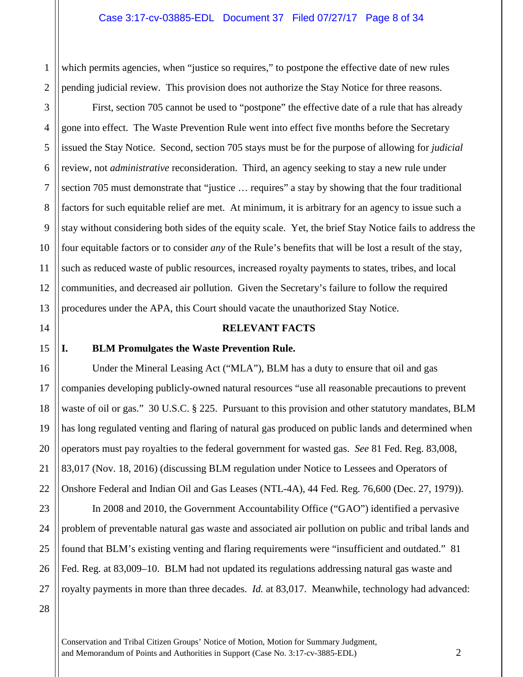2 which permits agencies, when "justice so requires," to postpone the effective date of new rules pending judicial review. This provision does not authorize the Stay Notice for three reasons.

9 12 13 First, section 705 cannot be used to "postpone" the effective date of a rule that has already gone into effect. The Waste Prevention Rule went into effect five months before the Secretary issued the Stay Notice. Second, section 705 stays must be for the purpose of allowing for *judicial*  review, not *administrative* reconsideration. Third, an agency seeking to stay a new rule under section 705 must demonstrate that "justice … requires" a stay by showing that the four traditional factors for such equitable relief are met. At minimum, it is arbitrary for an agency to issue such a stay without considering both sides of the equity scale. Yet, the brief Stay Notice fails to address the four equitable factors or to consider *any* of the Rule's benefits that will be lost a result of the stay, such as reduced waste of public resources, increased royalty payments to states, tribes, and local communities, and decreased air pollution. Given the Secretary's failure to follow the required procedures under the APA, this Court should vacate the unauthorized Stay Notice.

#### **RELEVANT FACTS**

#### **I. BLM Promulgates the Waste Prevention Rule.**

Under the Mineral Leasing Act ("MLA"), BLM has a duty to ensure that oil and gas companies developing publicly-owned natural resources "use all reasonable precautions to prevent waste of oil or gas." 30 U.S.C. § 225. Pursuant to this provision and other statutory mandates, BLM has long regulated venting and flaring of natural gas produced on public lands and determined when operators must pay royalties to the federal government for wasted gas. *See* 81 Fed. Reg. 83,008, 83,017 (Nov. 18, 2016) (discussing BLM regulation under Notice to Lessees and Operators of Onshore Federal and Indian Oil and Gas Leases (NTL-4A), 44 Fed. Reg. 76,600 (Dec. 27, 1979)).

23 26 In 2008 and 2010, the Government Accountability Office ("GAO") identified a pervasive problem of preventable natural gas waste and associated air pollution on public and tribal lands and found that BLM's existing venting and flaring requirements were "insufficient and outdated." 81 Fed. Reg. at 83,009–10. BLM had not updated its regulations addressing natural gas waste and royalty payments in more than three decades. *Id.* at 83,017. Meanwhile, technology had advanced:

27 28

1

3

4

5

6

7

8

10

11

14

15

16

17

18

19

20

21

22

24

25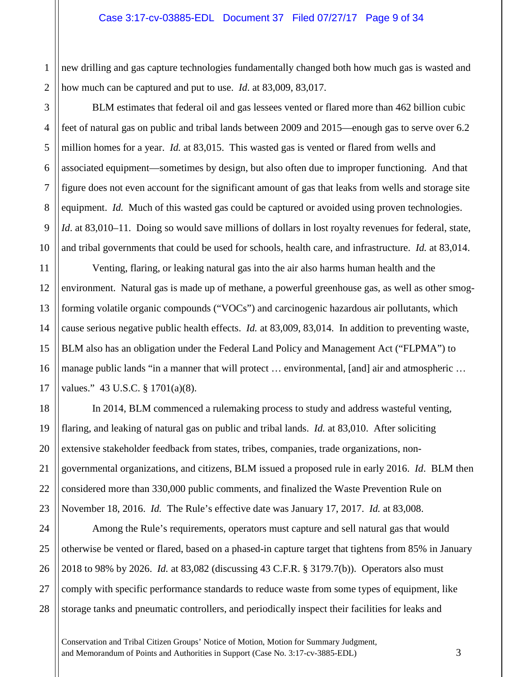#### Case 3:17-cv-03885-EDL Document 37 Filed 07/27/17 Page 9 of 34

1 2 new drilling and gas capture technologies fundamentally changed both how much gas is wasted and how much can be captured and put to use. *Id*. at 83,009, 83,017.

3

4

5

6

7

8

9

10

11

15

18

19

20

21

22

23

BLM estimates that federal oil and gas lessees vented or flared more than 462 billion cubic feet of natural gas on public and tribal lands between 2009 and 2015—enough gas to serve over 6.2 million homes for a year. *Id.* at 83,015. This wasted gas is vented or flared from wells and associated equipment—sometimes by design, but also often due to improper functioning. And that figure does not even account for the significant amount of gas that leaks from wells and storage site equipment. *Id.* Much of this wasted gas could be captured or avoided using proven technologies. *Id*. at 83,010–11. Doing so would save millions of dollars in lost royalty revenues for federal, state, and tribal governments that could be used for schools, health care, and infrastructure. *Id.* at 83,014.

12 13 14 16 17 Venting, flaring, or leaking natural gas into the air also harms human health and the environment. Natural gas is made up of methane, a powerful greenhouse gas, as well as other smogforming volatile organic compounds ("VOCs") and carcinogenic hazardous air pollutants, which cause serious negative public health effects. *Id.* at 83,009, 83,014. In addition to preventing waste, BLM also has an obligation under the Federal Land Policy and Management Act ("FLPMA") to manage public lands "in a manner that will protect ... environmental, [and] air and atmospheric ... values." 43 U.S.C. § 1701(a)(8).

In 2014, BLM commenced a rulemaking process to study and address wasteful venting, flaring, and leaking of natural gas on public and tribal lands. *Id.* at 83,010. After soliciting extensive stakeholder feedback from states, tribes, companies, trade organizations, nongovernmental organizations, and citizens, BLM issued a proposed rule in early 2016. *Id*. BLM then considered more than 330,000 public comments, and finalized the Waste Prevention Rule on November 18, 2016. *Id.* The Rule's effective date was January 17, 2017. *Id.* at 83,008.

24 25 26 27 28 Among the Rule's requirements, operators must capture and sell natural gas that would otherwise be vented or flared, based on a phased-in capture target that tightens from 85% in January 2018 to 98% by 2026. *Id.* at 83,082 (discussing 43 C.F.R. § 3179.7(b)). Operators also must comply with specific performance standards to reduce waste from some types of equipment, like storage tanks and pneumatic controllers, and periodically inspect their facilities for leaks and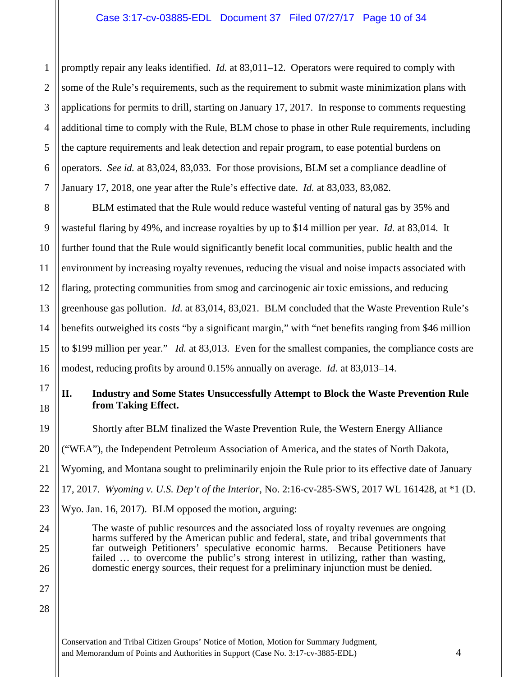1 2 3 promptly repair any leaks identified. *Id.* at 83,011–12. Operators were required to comply with some of the Rule's requirements, such as the requirement to submit waste minimization plans with applications for permits to drill, starting on January 17, 2017. In response to comments requesting additional time to comply with the Rule, BLM chose to phase in other Rule requirements, including the capture requirements and leak detection and repair program, to ease potential burdens on operators. *See id.* at 83,024, 83,033. For those provisions, BLM set a compliance deadline of January 17, 2018, one year after the Rule's effective date. *Id.* at 83,033, 83,082.

BLM estimated that the Rule would reduce wasteful venting of natural gas by 35% and wasteful flaring by 49%, and increase royalties by up to \$14 million per year. *Id.* at 83,014. It further found that the Rule would significantly benefit local communities, public health and the environment by increasing royalty revenues, reducing the visual and noise impacts associated with flaring, protecting communities from smog and carcinogenic air toxic emissions, and reducing greenhouse gas pollution. *Id.* at 83,014, 83,021. BLM concluded that the Waste Prevention Rule's benefits outweighed its costs "by a significant margin," with "net benefits ranging from \$46 million to \$199 million per year." *Id.* at 83,013. Even for the smallest companies, the compliance costs are modest, reducing profits by around 0.15% annually on average. *Id.* at 83,013–14.

# **II. Industry and Some States Unsuccessfully Attempt to Block the Waste Prevention Rule from Taking Effect.**

Shortly after BLM finalized the Waste Prevention Rule, the Western Energy Alliance ("WEA"), the Independent Petroleum Association of America, and the states of North Dakota, Wyoming, and Montana sought to preliminarily enjoin the Rule prior to its effective date of January 17, 2017. *Wyoming v. U.S. Dep't of the Interior*, No. 2:16-cv-285-SWS, 2017 WL 161428, at \*1 (D. Wyo. Jan. 16, 2017). BLM opposed the motion, arguing:

The waste of public resources and the associated loss of royalty revenues are ongoing harms suffered by the American public and federal, state, and tribal governments that far outweigh Petitioners' speculative economic harms. Because Petitioners have failed ... to overcome the public's strong interest in utilizing, rather than wasting, domestic energy sources, their request for a preliminary injunction must be denied.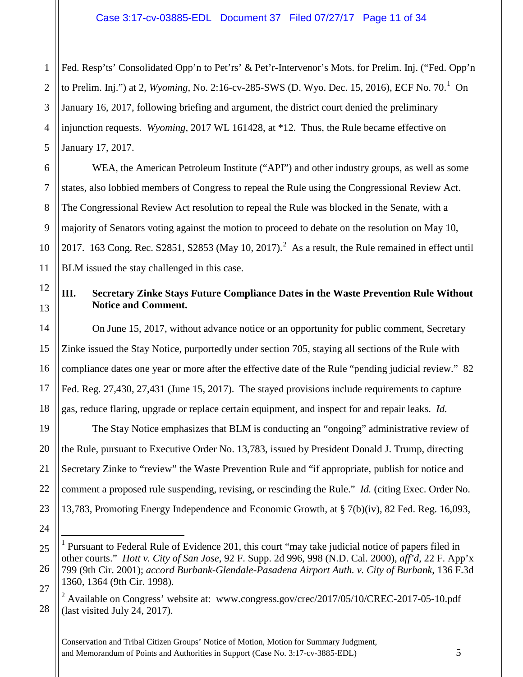1 2 3 4 5 Fed. Resp'ts' Consolidated Opp'n to Pet'rs' & Pet'r-Intervenor's Mots. for Prelim. Inj. ("Fed. Opp'n to Prelim. Inj.") at 2, *Wyoming*, No. 2:[1](#page-10-0)6-cv-285-SWS (D. Wyo. Dec. 15, 2016), ECF No. 70.<sup>1</sup> On January 16, 2017, following briefing and argument, the district court denied the preliminary injunction requests. *Wyoming*, 2017 WL 161428, at \*12. Thus, the Rule became effective on January 17, 2017.

WEA, the American Petroleum Institute ("API") and other industry groups, as well as some states, also lobbied members of Congress to repeal the Rule using the Congressional Review Act. The Congressional Review Act resolution to repeal the Rule was blocked in the Senate, with a majority of Senators voting against the motion to proceed to debate on the resolution on May 10, [2](#page-10-1)017. 163 Cong. Rec. S2851, S2853 (May 10, 2017).<sup>2</sup> As a result, the Rule remained in effect until BLM issued the stay challenged in this case.

6

7

8

9

10

11

12

13

14

15

16

17

18

19

20

21

22

23

24

<span id="page-10-1"></span>28

# **III. Secretary Zinke Stays Future Compliance Dates in the Waste Prevention Rule Without Notice and Comment.**

On June 15, 2017, without advance notice or an opportunity for public comment, Secretary Zinke issued the Stay Notice, purportedly under section 705, staying all sections of the Rule with compliance dates one year or more after the effective date of the Rule "pending judicial review." 82 Fed. Reg. 27,430, 27,431 (June 15, 2017). The stayed provisions include requirements to capture gas, reduce flaring, upgrade or replace certain equipment, and inspect for and repair leaks. *Id.* 

The Stay Notice emphasizes that BLM is conducting an "ongoing" administrative review of the Rule, pursuant to Executive Order No. 13,783, issued by President Donald J. Trump, directing Secretary Zinke to "review" the Waste Prevention Rule and "if appropriate, publish for notice and comment a proposed rule suspending, revising, or rescinding the Rule." *Id.* (citing Exec. Order No. 13,783, Promoting Energy Independence and Economic Growth, at § 7(b)(iv), 82 Fed. Reg. 16,093,

<span id="page-10-0"></span><sup>25</sup> 26 27 <sup>1</sup> Pursuant to Federal Rule of Evidence 201, this court "may take judicial notice of papers filed in other courts." *Hott v. City of San Jose*, 92 F. Supp. 2d 996, 998 (N.D. Cal. 2000), *aff'd*, 22 F. App'x 799 (9th Cir. 2001); *accord Burbank-Glendale-Pasadena Airport Auth. v. City of Burbank*, 136 F.3d 1360, 1364 (9th Cir. 1998).

 $2$  Available on Congress' website at: www.congress.gov/crec/2017/05/10/CREC-2017-05-10.pdf (last visited July 24, 2017).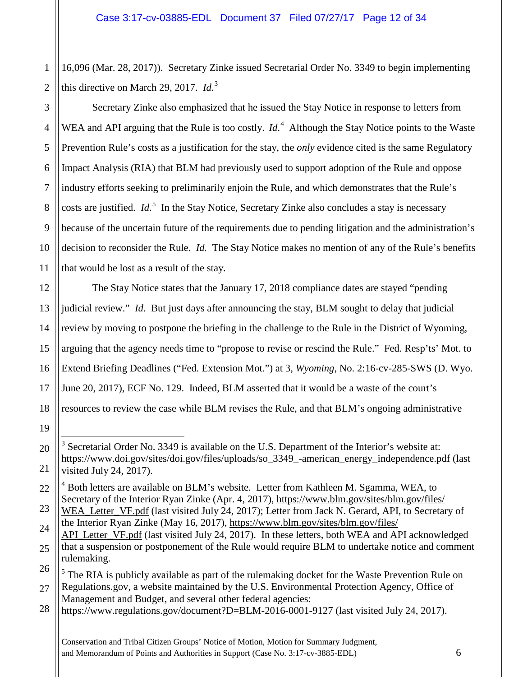16,096 (Mar. 28, 2017)). Secretary Zinke issued Secretarial Order No. 3349 to begin implementing this directive on March 29, 2017. *Id.*[3](#page-11-0)

Secretary Zinke also emphasized that he issued the Stay Notice in response to letters from

1

2

3

WEA and API arguing that the Rule is too costly. *Id*.<sup>[4](#page-11-1)</sup> Although the Stay Notice points to the Waste Prevention Rule's costs as a justification for the stay, the *only* evidence cited is the same Regulatory Impact Analysis (RIA) that BLM had previously used to support adoption of the Rule and oppose industry efforts seeking to preliminarily enjoin the Rule, and which demonstrates that the Rule's costs are justified. *Id*. [5](#page-11-2) In the Stay Notice, Secretary Zinke also concludes a stay is necessary because of the uncertain future of the requirements due to pending litigation and the administration's decision to reconsider the Rule. *Id.* The Stay Notice makes no mention of any of the Rule's benefits that would be lost as a result of the stay.

The Stay Notice states that the January 17, 2018 compliance dates are stayed "pending judicial review." *Id*. But just days after announcing the stay, BLM sought to delay that judicial review by moving to postpone the briefing in the challenge to the Rule in the District of Wyoming, arguing that the agency needs time to "propose to revise or rescind the Rule." Fed. Resp'ts' Mot. to Extend Briefing Deadlines ("Fed. Extension Mot.") at 3, *Wyoming*, No. 2:16-cv-285-SWS (D. Wyo. June 20, 2017), ECF No. 129. Indeed, BLM asserted that it would be a waste of the court's resources to review the case while BLM revises the Rule, and that BLM's ongoing administrative

Management and Budget, and several other federal agencies:

<span id="page-11-0"></span> $3$  Secretarial Order No. 3349 is available on the U.S. Department of the Interior's website at: https://www.doi.gov/sites/doi.gov/files/uploads/so\_3349\_-american\_energy\_independence.pdf (last visited July 24, 2017).

<span id="page-11-1"></span><sup>&</sup>lt;sup>4</sup> Both letters are available on BLM's website. Letter from Kathleen M. Sgamma, WEA, to Secretary of the Interior Ryan Zinke (Apr. 4, 2017), [https://www.blm.gov/sites/blm.gov/files/](https://www.blm.gov/sites/blm.gov/files/WEA_Letter_VF.pdf)

[WEA\\_Letter\\_VF.pdf](https://www.blm.gov/sites/blm.gov/files/WEA_Letter_VF.pdf) (last visited July 24, 2017); Letter from Jack N. Gerard, API, to Secretary of the Interior Ryan Zinke (May 16, 2017), [https://www.blm.gov/sites/blm.gov/files/](https://www.blm.gov/sites/blm.gov/files/API_Letter_VF.pdf)

[API\\_Letter\\_VF.pdf](https://www.blm.gov/sites/blm.gov/files/API_Letter_VF.pdf) (last visited July 24, 2017). In these letters, both WEA and API acknowledged that a suspension or postponement of the Rule would require BLM to undertake notice and comment rulemaking.

<span id="page-11-2"></span><sup>&</sup>lt;sup>5</sup> The RIA is publicly available as part of the rulemaking docket for the Waste Prevention Rule on Regulations.gov, a website maintained by the U.S. Environmental Protection Agency, Office of

<sup>28</sup> https://www.regulations.gov/document?D=BLM-2016-0001-9127 (last visited July 24, 2017).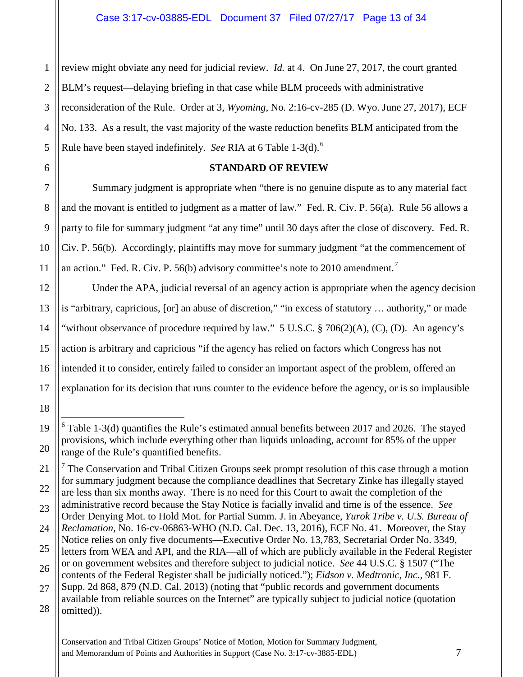2 3 4 5 review might obviate any need for judicial review. *Id.* at 4. On June 27, 2017, the court granted BLM's request—delaying briefing in that case while BLM proceeds with administrative reconsideration of the Rule. Order at 3, *Wyoming*, No. 2:16-cv-285 (D. Wyo. June 27, 2017), ECF No. 133. As a result, the vast majority of the waste reduction benefits BLM anticipated from the Rule have been stayed indefinitely. *See* RIA at 6 Table 1-3(d).[6](#page-12-0)

1

6

7

8

9

10

11

12

13

14

15

16

17

18

<span id="page-12-0"></span>19

20

<span id="page-12-1"></span>21

22

#### **STANDARD OF REVIEW**

Summary judgment is appropriate when "there is no genuine dispute as to any material fact and the movant is entitled to judgment as a matter of law." Fed. R. Civ. P. 56(a). Rule 56 allows a party to file for summary judgment "at any time" until 30 days after the close of discovery. Fed. R. Civ. P. 56(b). Accordingly, plaintiffs may move for summary judgment "at the commencement of an action." Fed. R. Civ. P. 56(b) advisory committee's note to 2010 amendment.<sup>[7](#page-12-1)</sup>

Under the APA, judicial reversal of an agency action is appropriate when the agency decision is "arbitrary, capricious, [or] an abuse of discretion," "in excess of statutory … authority," or made "without observance of procedure required by law."  $5 \text{ U.S.C.}$  § 706(2)(A), (C), (D). An agency's action is arbitrary and capricious "if the agency has relied on factors which Congress has not intended it to consider, entirely failed to consider an important aspect of the problem, offered an explanation for its decision that runs counter to the evidence before the agency, or is so implausible

 $6$  Table 1-3(d) quantifies the Rule's estimated annual benefits between 2017 and 2026. The stayed provisions, which include everything other than liquids unloading, account for 85% of the upper range of the Rule's quantified benefits.

<sup>&</sup>lt;sup>7</sup> The Conservation and Tribal Citizen Groups seek prompt resolution of this case through a motion for summary judgment because the compliance deadlines that Secretary Zinke has illegally stayed are less than six months away. There is no need for this Court to await the completion of the

<sup>23</sup> 24 administrative record because the Stay Notice is facially invalid and time is of the essence. *See*  Order Denying Mot. to Hold Mot. for Partial Summ. J. in Abeyance, *Yurok Tribe v. U.S. Bureau of Reclamation*, No. 16-cv-06863-WHO (N.D. Cal. Dec. 13, 2016), ECF No. 41. Moreover, the Stay

<sup>25</sup> Notice relies on only five documents—Executive Order No. 13,783, Secretarial Order No. 3349, letters from WEA and API, and the RIA—all of which are publicly available in the Federal Register

<sup>26</sup> 27 or on government websites and therefore subject to judicial notice. *See* 44 U.S.C. § 1507 ("The contents of the Federal Register shall be judicially noticed."); *Eidson v. Medtronic, Inc.*, 981 F. Supp. 2d 868, 879 (N.D. Cal. 2013) (noting that "public records and government documents

<sup>28</sup> available from reliable sources on the Internet" are typically subject to judicial notice (quotation omitted)).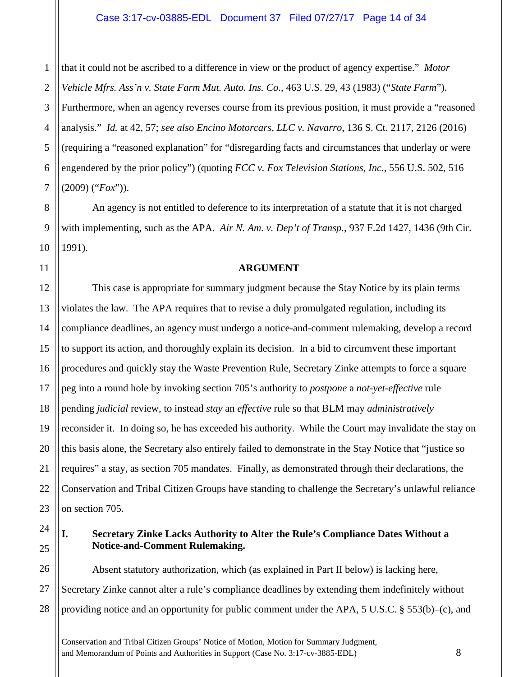1 2 3 4 5 6 7 that it could not be ascribed to a difference in view or the product of agency expertise." *Motor Vehicle Mfrs. Ass'n v. State Farm Mut. Auto. Ins. Co.*, 463 U.S. 29, 43 (1983) ("*State Farm*"). Furthermore, when an agency reverses course from its previous position, it must provide a "reasoned analysis." *Id.* at 42, 57; *see also Encino Motorcars, LLC v. Navarro*, 136 S. Ct. 2117, 2126 (2016) (requiring a "reasoned explanation" for "disregarding facts and circumstances that underlay or were engendered by the prior policy") (quoting *FCC v. Fox Television Stations, Inc.*, 556 U.S. 502, 516 (2009) ("*Fox*")).

An agency is not entitled to deference to its interpretation of a statute that it is not charged with implementing, such as the APA. *Air N. Am. v. Dep't of Transp.*, 937 F.2d 1427, 1436 (9th Cir. 1991).

## **ARGUMENT**

This case is appropriate for summary judgment because the Stay Notice by its plain terms violates the law. The APA requires that to revise a duly promulgated regulation, including its compliance deadlines, an agency must undergo a notice-and-comment rulemaking, develop a record to support its action, and thoroughly explain its decision. In a bid to circumvent these important procedures and quickly stay the Waste Prevention Rule, Secretary Zinke attempts to force a square peg into a round hole by invoking section 705's authority to *postpone* a *not-yet-effective* rule pending *judicial* review, to instead *stay* an *effective* rule so that BLM may *administratively*  reconsider it. In doing so, he has exceeded his authority. While the Court may invalidate the stay on this basis alone, the Secretary also entirely failed to demonstrate in the Stay Notice that "justice so requires" a stay, as section 705 mandates. Finally, as demonstrated through their declarations, the Conservation and Tribal Citizen Groups have standing to challenge the Secretary's unlawful reliance on section 705.

23 24

8

9

10

11

12

13

14

15

16

17

18

19

20

21

22

25

#### **I. Secretary Zinke Lacks Authority to Alter the Rule's Compliance Dates Without a Notice-and-Comment Rulemaking.**

26 27 28 Absent statutory authorization, which (as explained in Part II below) is lacking here, Secretary Zinke cannot alter a rule's compliance deadlines by extending them indefinitely without providing notice and an opportunity for public comment under the APA,  $5 \text{ U.S.C.} \text{ } \text{\$ } 553(\text{b})-(\text{c})$ , and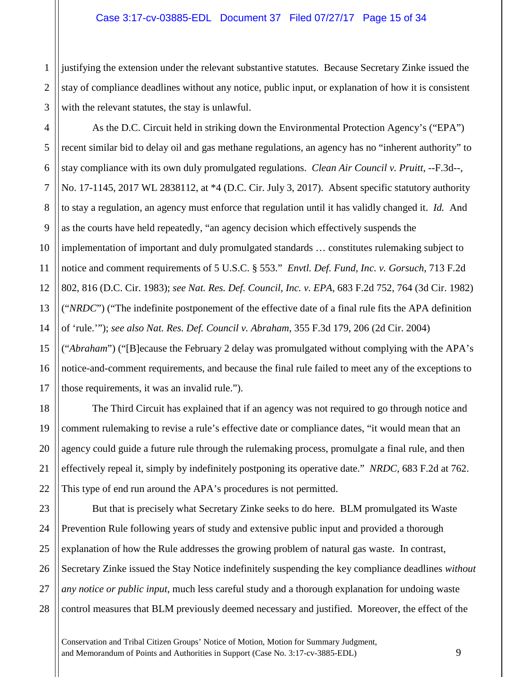#### Case 3:17-cv-03885-EDL Document 37 Filed 07/27/17 Page 15 of 34

2 3 justifying the extension under the relevant substantive statutes. Because Secretary Zinke issued the stay of compliance deadlines without any notice, public input, or explanation of how it is consistent with the relevant statutes, the stay is unlawful.

1

11

18

19

20

21

22

4 5 6 7 8 9 10 12 13 14 15 16 17 As the D.C. Circuit held in striking down the Environmental Protection Agency's ("EPA") recent similar bid to delay oil and gas methane regulations, an agency has no "inherent authority" to stay compliance with its own duly promulgated regulations. *Clean Air Council v. Pruitt*, --F.3d--, No. 17-1145, 2017 WL 2838112, at \*4 (D.C. Cir. July 3, 2017). Absent specific statutory authority to stay a regulation, an agency must enforce that regulation until it has validly changed it. *Id.* And as the courts have held repeatedly, "an agency decision which effectively suspends the implementation of important and duly promulgated standards … constitutes rulemaking subject to notice and comment requirements of 5 U.S.C. § 553." *Envtl. Def. Fund, Inc. v. Gorsuch*, 713 F.2d 802, 816 (D.C. Cir. 1983); *see Nat. Res. Def. Council, Inc. v. EPA*, 683 F.2d 752, 764 (3d Cir. 1982) ("*NRDC*") ("The indefinite postponement of the effective date of a final rule fits the APA definition of 'rule.'"); *see also Nat. Res. Def. Council v. Abraham*, 355 F.3d 179, 206 (2d Cir. 2004) ("*Abraham*") ("[B]ecause the February 2 delay was promulgated without complying with the APA's notice-and-comment requirements, and because the final rule failed to meet any of the exceptions to those requirements, it was an invalid rule.").

The Third Circuit has explained that if an agency was not required to go through notice and comment rulemaking to revise a rule's effective date or compliance dates, "it would mean that an agency could guide a future rule through the rulemaking process, promulgate a final rule, and then effectively repeal it, simply by indefinitely postponing its operative date." *NRDC*, 683 F.2d at 762. This type of end run around the APA's procedures is not permitted.

23 24 25 26 27 28 But that is precisely what Secretary Zinke seeks to do here. BLM promulgated its Waste Prevention Rule following years of study and extensive public input and provided a thorough explanation of how the Rule addresses the growing problem of natural gas waste. In contrast, Secretary Zinke issued the Stay Notice indefinitely suspending the key compliance deadlines *without any notice or public input*, much less careful study and a thorough explanation for undoing waste control measures that BLM previously deemed necessary and justified. Moreover, the effect of the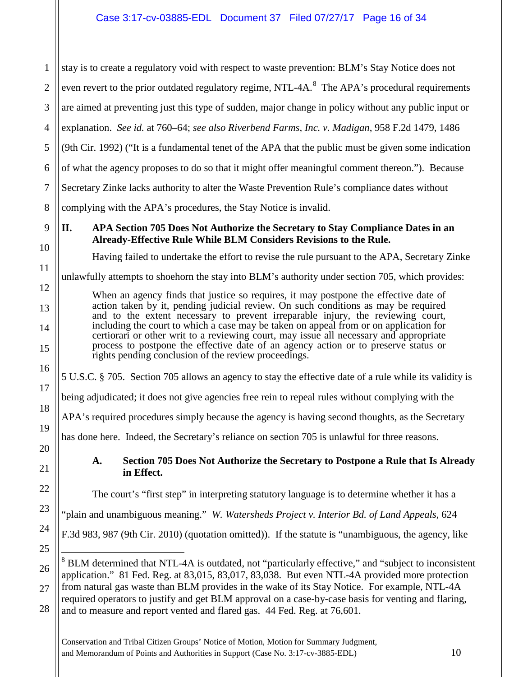1 2 3 4 5 6 7 8 9 10 11 12 13 14 15 16 17 18 19 20 21 22 23 24 25 26 stay is to create a regulatory void with respect to waste prevention: BLM's Stay Notice does not even revert to the prior outdated regulatory regime, NTL-4A. $^8$  $^8$  The APA's procedural requirements are aimed at preventing just this type of sudden, major change in policy without any public input or explanation. *See id.* at 760–64; *see also Riverbend Farms, Inc. v. Madigan*, 958 F.2d 1479, 1486 (9th Cir. 1992) ("It is a fundamental tenet of the APA that the public must be given some indication of what the agency proposes to do so that it might offer meaningful comment thereon."). Because Secretary Zinke lacks authority to alter the Waste Prevention Rule's compliance dates without complying with the APA's procedures, the Stay Notice is invalid. **II. APA Section 705 Does Not Authorize the Secretary to Stay Compliance Dates in an Already-Effective Rule While BLM Considers Revisions to the Rule.**  Having failed to undertake the effort to revise the rule pursuant to the APA, Secretary Zinke unlawfully attempts to shoehorn the stay into BLM's authority under section 705, which provides: When an agency finds that justice so requires, it may postpone the effective date of action taken by it, pending judicial review. On such conditions as may be required and to the extent necessary to prevent irreparable injury, the reviewing court, including the court to which a case may be taken on appeal from or on application for certiorari or other writ to a reviewing court, may issue all necessary and appropriate process to postpone the effective date of an agency action or to preserve status or rights pending conclusion of the review proceedings. 5 U.S.C. § 705. Section 705 allows an agency to stay the effective date of a rule while its validity is being adjudicated; it does not give agencies free rein to repeal rules without complying with the APA's required procedures simply because the agency is having second thoughts, as the Secretary has done here. Indeed, the Secretary's reliance on section 705 is unlawful for three reasons. **A. Section 705 Does Not Authorize the Secretary to Postpone a Rule that Is Already in Effect.** The court's "first step" in interpreting statutory language is to determine whether it has a "plain and unambiguous meaning." *W. Watersheds Project v. Interior Bd. of Land Appeals*, 624 F.3d 983, 987 (9th Cir. 2010) (quotation omitted)). If the statute is "unambiguous, the agency, like <sup>8</sup> BLM determined that NTL-4A is outdated, not "particularly effective," and "subject to inconsistent

<span id="page-15-0"></span>27 28 application." 81 Fed. Reg. at 83,015, 83,017, 83,038. But even NTL-4A provided more protection from natural gas waste than BLM provides in the wake of its Stay Notice. For example, NTL-4A required operators to justify and get BLM approval on a case-by-case basis for venting and flaring, and to measure and report vented and flared gas. 44 Fed. Reg. at 76,601.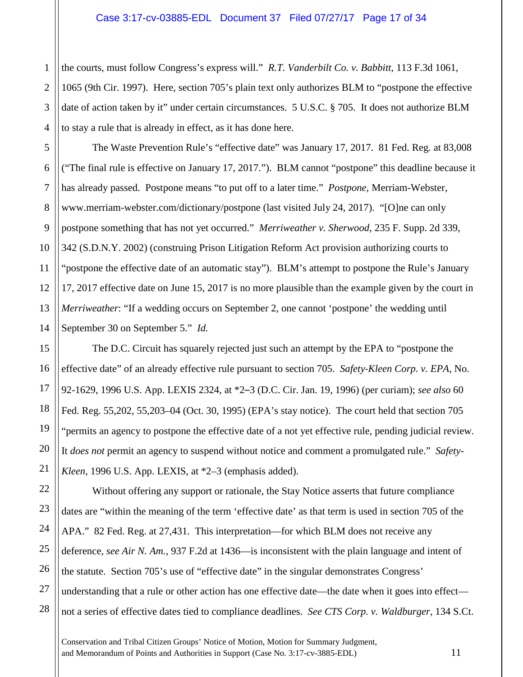the courts, must follow Congress's express will." *R.T. Vanderbilt Co. v. Babbitt*, 113 F.3d 1061, 1065 (9th Cir. 1997). Here, section 705's plain text only authorizes BLM to "postpone the effective date of action taken by it" under certain circumstances. 5 U.S.C. § 705. It does not authorize BLM to stay a rule that is already in effect, as it has done here.

The Waste Prevention Rule's "effective date" was January 17, 2017. 81 Fed. Reg. at 83,008 ("The final rule is effective on January 17, 2017."). BLM cannot "postpone" this deadline because it has already passed. Postpone means "to put off to a later time." *Postpone*, Merriam-Webster, www.merriam-webster.com/dictionary/postpone (last visited July 24, 2017). "[O]ne can only postpone something that has not yet occurred." *Merriweather v. Sherwood*, 235 F. Supp. 2d 339, 342 (S.D.N.Y. 2002) (construing Prison Litigation Reform Act provision authorizing courts to "postpone the effective date of an automatic stay"). BLM's attempt to postpone the Rule's January 17, 2017 effective date on June 15, 2017 is no more plausible than the example given by the court in *Merriweather*: "If a wedding occurs on September 2, one cannot 'postpone' the wedding until September 30 on September 5." *Id.*

The D.C. Circuit has squarely rejected just such an attempt by the EPA to "postpone the effective date" of an already effective rule pursuant to section 705. *Safety*‐*Kleen Corp. v. EPA*, No. 92-1629, 1996 U.S. App. LEXIS 2324, at \*2–3 (D.C. Cir. Jan. 19, 1996) (per curiam); *see also* 60 Fed. Reg. 55,202, 55,203–04 (Oct. 30, 1995) (EPA's stay notice). The court held that section 705 "permits an agency to postpone the effective date of a not yet effective rule, pending judicial review. It *does not* permit an agency to suspend without notice and comment a promulgated rule." *Safety-Kleen*, 1996 U.S. App. LEXIS, at \*2–3 (emphasis added).

Without offering any support or rationale, the Stay Notice asserts that future compliance dates are "within the meaning of the term 'effective date' as that term is used in section 705 of the APA." 82 Fed. Reg. at 27,431. This interpretation—for which BLM does not receive any deference, *see Air N. Am.*, 937 F.2d at 1436—is inconsistent with the plain language and intent of the statute. Section 705's use of "effective date" in the singular demonstrates Congress' understanding that a rule or other action has one effective date—the date when it goes into effect not a series of effective dates tied to compliance deadlines. *See CTS Corp. v. Waldburger*, 134 S.Ct.

Conservation and Tribal Citizen Groups' Notice of Motion, Motion for Summary Judgment, and Memorandum of Points and Authorities in Support (Case No. 3:17-cv-3885-EDL) 11

1

2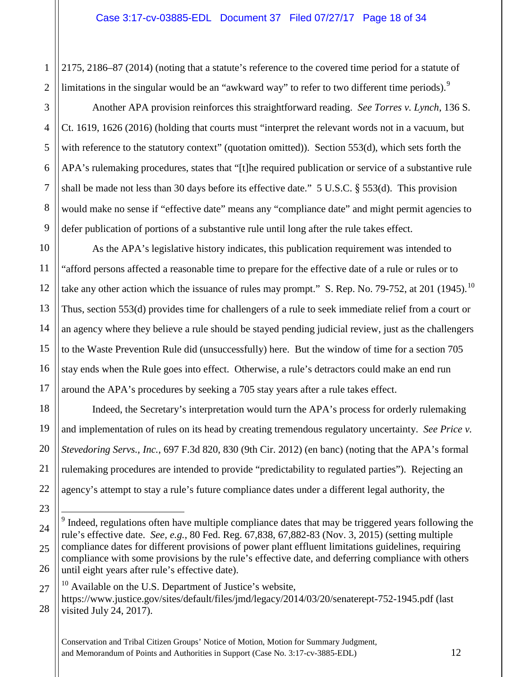2175, 2186–87 (2014) (noting that a statute's reference to the covered time period for a statute of limitations in the singular would be an "awkward way" to refer to two different time periods).<sup>[9](#page-17-0)</sup>

1

2

3

4

5

6

7

8

9

10

11

12

13

14

15

16

17

18

19

20

21

22

23

<span id="page-17-0"></span>24

25

26

<span id="page-17-1"></span>27

28

Another APA provision reinforces this straightforward reading. *See Torres v. Lynch*, 136 S. Ct. 1619, 1626 (2016) (holding that courts must "interpret the relevant words not in a vacuum, but with reference to the statutory context" (quotation omitted)). Section 553(d), which sets forth the APA's rulemaking procedures, states that "[t]he required publication or service of a substantive rule shall be made not less than 30 days before its effective date." 5 U.S.C. § 553(d). This provision would make no sense if "effective date" means any "compliance date" and might permit agencies to defer publication of portions of a substantive rule until long after the rule takes effect.

As the APA's legislative history indicates, this publication requirement was intended to "afford persons affected a reasonable time to prepare for the effective date of a rule or rules or to take any other action which the issuance of rules may prompt." S. Rep. No. 79-752, at 201 (1945).<sup>10</sup> Thus, section 553(d) provides time for challengers of a rule to seek immediate relief from a court or an agency where they believe a rule should be stayed pending judicial review, just as the challengers to the Waste Prevention Rule did (unsuccessfully) here. But the window of time for a section 705 stay ends when the Rule goes into effect. Otherwise, a rule's detractors could make an end run around the APA's procedures by seeking a 705 stay years after a rule takes effect.

Indeed, the Secretary's interpretation would turn the APA's process for orderly rulemaking and implementation of rules on its head by creating tremendous regulatory uncertainty. *See Price v. Stevedoring Servs., Inc.*, 697 F.3d 820, 830 (9th Cir. 2012) (en banc) (noting that the APA's formal rulemaking procedures are intended to provide "predictability to regulated parties"). Rejecting an agency's attempt to stay a rule's future compliance dates under a different legal authority, the

 $9$  Indeed, regulations often have multiple compliance dates that may be triggered years following the rule's effective date. *See, e.g.*, 80 Fed. Reg. 67,838, 67,882-83 (Nov. 3, 2015) (setting multiple compliance dates for different provisions of power plant effluent limitations guidelines, requiring compliance with some provisions by the rule's effective date, and deferring compliance with others until eight years after rule's effective date).

 $10$  Available on the U.S. Department of Justice's website, https://www.justice.gov/sites/default/files/jmd/legacy/2014/03/20/senaterept-752-1945.pdf (last visited July 24, 2017).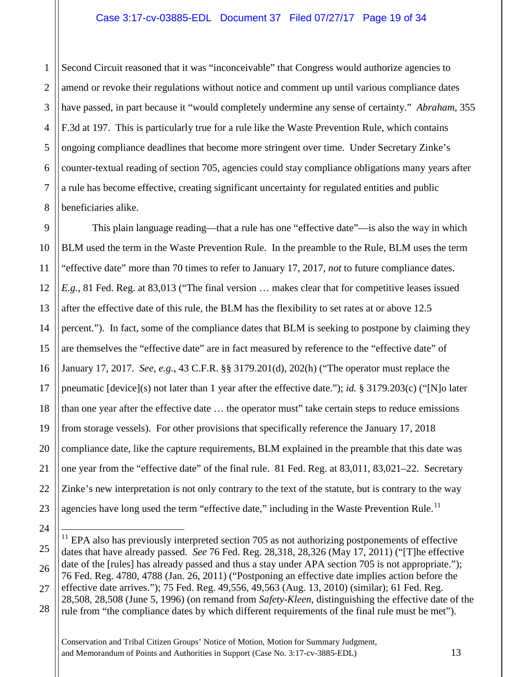#### Case 3:17-cv-03885-EDL Document 37 Filed 07/27/17 Page 19 of 34

1 2 3 4 5 6 7 8 Second Circuit reasoned that it was "inconceivable" that Congress would authorize agencies to amend or revoke their regulations without notice and comment up until various compliance dates have passed, in part because it "would completely undermine any sense of certainty." *Abraham*, 355 F.3d at 197. This is particularly true for a rule like the Waste Prevention Rule, which contains ongoing compliance deadlines that become more stringent over time. Under Secretary Zinke's counter-textual reading of section 705, agencies could stay compliance obligations many years after a rule has become effective, creating significant uncertainty for regulated entities and public beneficiaries alike.

9 10 11 12 13 14 15 16 17 18 19 20 21 22 23 This plain language reading—that a rule has one "effective date"—is also the way in which BLM used the term in the Waste Prevention Rule. In the preamble to the Rule, BLM uses the term "effective date" more than 70 times to refer to January 17, 2017, *not* to future compliance dates. *E.g.*, 81 Fed. Reg. at 83,013 ("The final version … makes clear that for competitive leases issued after the effective date of this rule, the BLM has the flexibility to set rates at or above 12.5 percent."). In fact, some of the compliance dates that BLM is seeking to postpone by claiming they are themselves the "effective date" are in fact measured by reference to the "effective date" of January 17, 2017. *See, e.g.*, 43 C.F.R. §§ 3179.201(d), 202(h) ("The operator must replace the pneumatic [device](s) not later than 1 year after the effective date."); *id.* § 3179.203(c) ("[N]o later than one year after the effective date … the operator must" take certain steps to reduce emissions from storage vessels). For other provisions that specifically reference the January 17, 2018 compliance date, like the capture requirements, BLM explained in the preamble that this date was one year from the "effective date" of the final rule. 81 Fed. Reg. at 83,011, 83,021–22. Secretary Zinke's new interpretation is not only contrary to the text of the statute, but is contrary to the way agencies have long used the term "effective date," including in the Waste Prevention Rule.<sup>[11](#page-18-0)</sup>

Conservation and Tribal Citizen Groups' Notice of Motion, Motion for Summary Judgment, and Memorandum of Points and Authorities in Support (Case No. 3:17-cv-3885-EDL) 13

24

<span id="page-18-0"></span><sup>25</sup> 26 27 28  $11$  EPA also has previously interpreted section 705 as not authorizing postponements of effective dates that have already passed. *See* 76 Fed. Reg. 28,318, 28,326 (May 17, 2011) ("[T]he effective date of the [rules] has already passed and thus a stay under APA section 705 is not appropriate."); 76 Fed. Reg. 4780, 4788 (Jan. 26, 2011) ("Postponing an effective date implies action before the effective date arrives."); 75 Fed. Reg. 49,556, 49,563 (Aug. 13, 2010) (similar); 61 Fed. Reg. 28,508, 28,508 (June 5, 1996) (on remand from *Safety-Kleen*, distinguishing the effective date of the rule from "the compliance dates by which different requirements of the final rule must be met").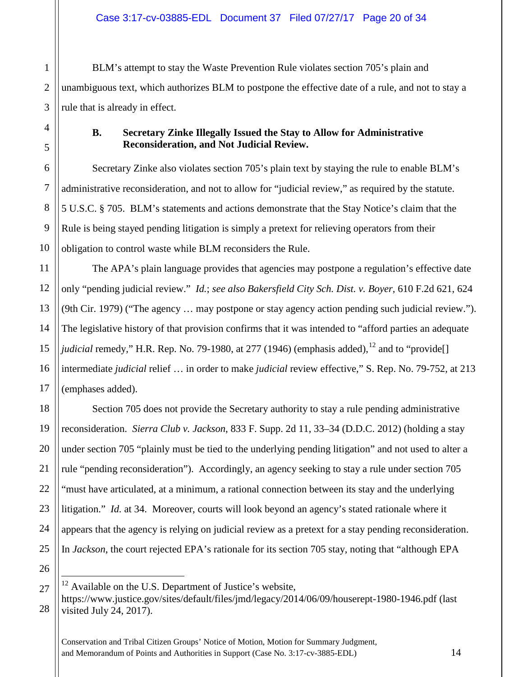BLM's attempt to stay the Waste Prevention Rule violates section 705's plain and unambiguous text, which authorizes BLM to postpone the effective date of a rule, and not to stay a rule that is already in effect.

1

2

3

4

## **B. Secretary Zinke Illegally Issued the Stay to Allow for Administrative Reconsideration, and Not Judicial Review.**

Secretary Zinke also violates section 705's plain text by staying the rule to enable BLM's administrative reconsideration, and not to allow for "judicial review," as required by the statute. 5 U.S.C. § 705. BLM's statements and actions demonstrate that the Stay Notice's claim that the Rule is being stayed pending litigation is simply a pretext for relieving operators from their obligation to control waste while BLM reconsiders the Rule.

The APA's plain language provides that agencies may postpone a regulation's effective date only "pending judicial review." *Id.*; *see also Bakersfield City Sch. Dist. v. Boyer*, 610 F.2d 621, 624 (9th Cir. 1979) ("The agency … may postpone or stay agency action pending such judicial review."). The legislative history of that provision confirms that it was intended to "afford parties an adequate *judicial* remedy," H.R. Rep. No. 79-1980, at 277 (1946) (emphasis added),  $^{12}$  $^{12}$  $^{12}$  and to "provide. intermediate *judicial* relief … in order to make *judicial* review effective," S. Rep. No. 79-752, at 213 (emphases added).

Section 705 does not provide the Secretary authority to stay a rule pending administrative reconsideration. *Sierra Club v. Jackson*, 833 F. Supp. 2d 11, 33–34 (D.D.C. 2012) (holding a stay under section 705 "plainly must be tied to the underlying pending litigation" and not used to alter a rule "pending reconsideration"). Accordingly, an agency seeking to stay a rule under section 705 "must have articulated, at a minimum, a rational connection between its stay and the underlying litigation." *Id.* at 34. Moreover, courts will look beyond an agency's stated rationale where it appears that the agency is relying on judicial review as a pretext for a stay pending reconsideration. In *Jackson*, the court rejected EPA's rationale for its section 705 stay, noting that "although EPA

<span id="page-19-0"></span> $12$  Available on the U.S. Department of Justice's website, https://www.justice.gov/sites/default/files/jmd/legacy/2014/06/09/houserept-1980-1946.pdf (last visited July 24, 2017).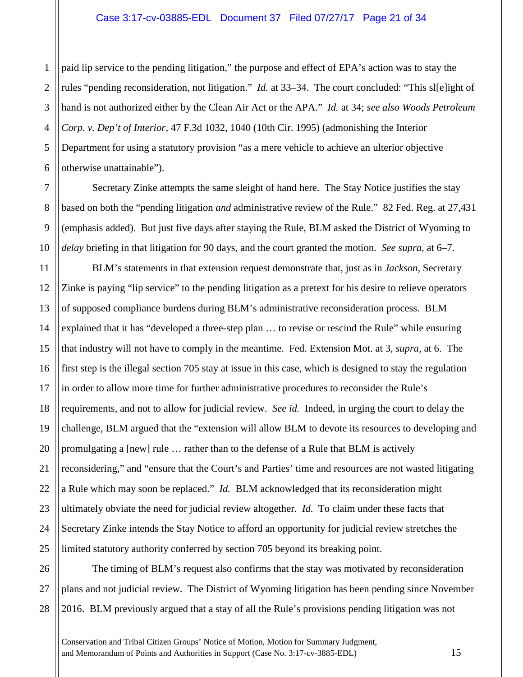1 2 3 4 5 6 paid lip service to the pending litigation," the purpose and effect of EPA's action was to stay the rules "pending reconsideration, not litigation." *Id.* at 33–34.The court concluded: "This sl[e]ight of hand is not authorized either by the Clean Air Act or the APA." *Id.* at 34; *see also Woods Petroleum Corp. v. Dep't of Interior*, 47 F.3d 1032, 1040 (10th Cir. 1995) (admonishing the Interior Department for using a statutory provision "as a mere vehicle to achieve an ulterior objective otherwise unattainable").

Secretary Zinke attempts the same sleight of hand here. The Stay Notice justifies the stay based on both the "pending litigation *and* administrative review of the Rule." 82 Fed. Reg. at 27,431 (emphasis added). But just five days after staying the Rule, BLM asked the District of Wyoming to *delay* briefing in that litigation for 90 days, and the court granted the motion. *See supra*, at 6–7.

7

8

9

10

11

27

12 13 14 15 16 17 18 19 20 21 22 23 24 25 BLM's statements in that extension request demonstrate that, just as in *Jackson*, Secretary Zinke is paying "lip service" to the pending litigation as a pretext for his desire to relieve operators of supposed compliance burdens during BLM's administrative reconsideration process. BLM explained that it has "developed a three-step plan … to revise or rescind the Rule" while ensuring that industry will not have to comply in the meantime. Fed. Extension Mot. at 3, *supra*, at 6. The first step is the illegal section 705 stay at issue in this case, which is designed to stay the regulation in order to allow more time for further administrative procedures to reconsider the Rule's requirements, and not to allow for judicial review. *See id.* Indeed, in urging the court to delay the challenge, BLM argued that the "extension will allow BLM to devote its resources to developing and promulgating a [new] rule … rather than to the defense of a Rule that BLM is actively reconsidering," and "ensure that the Court's and Parties' time and resources are not wasted litigating a Rule which may soon be replaced." *Id.* BLM acknowledged that its reconsideration might ultimately obviate the need for judicial review altogether. *Id*. To claim under these facts that Secretary Zinke intends the Stay Notice to afford an opportunity for judicial review stretches the limited statutory authority conferred by section 705 beyond its breaking point.

26 28 The timing of BLM's request also confirms that the stay was motivated by reconsideration plans and not judicial review. The District of Wyoming litigation has been pending since November 2016. BLM previously argued that a stay of all the Rule's provisions pending litigation was not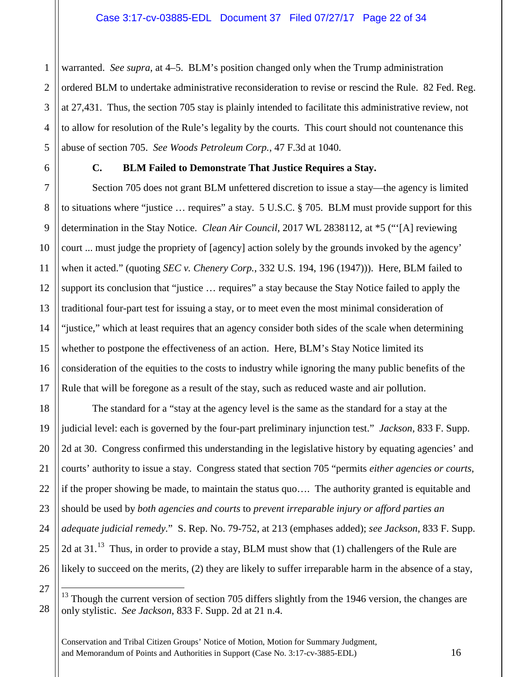warranted. *See supra*, at 4–5. BLM's position changed only when the Trump administration ordered BLM to undertake administrative reconsideration to revise or rescind the Rule. 82 Fed. Reg. at 27,431. Thus, the section 705 stay is plainly intended to facilitate this administrative review, not to allow for resolution of the Rule's legality by the courts. This court should not countenance this abuse of section 705. *See Woods Petroleum Corp.*, 47 F.3d at 1040.

1

2

## **C. BLM Failed to Demonstrate That Justice Requires a Stay.**

Section 705 does not grant BLM unfettered discretion to issue a stay—the agency is limited to situations where "justice … requires" a stay. 5 U.S.C. § 705. BLM must provide support for this determination in the Stay Notice. *Clean Air Council*, 2017 WL 2838112, at \*5 ("'[A] reviewing court ... must judge the propriety of [agency] action solely by the grounds invoked by the agency' when it acted." (quoting *SEC v. Chenery Corp.*, 332 U.S. 194, 196 (1947))). Here, BLM failed to support its conclusion that "justice … requires" a stay because the Stay Notice failed to apply the traditional four-part test for issuing a stay, or to meet even the most minimal consideration of "justice," which at least requires that an agency consider both sides of the scale when determining whether to postpone the effectiveness of an action. Here, BLM's Stay Notice limited its consideration of the equities to the costs to industry while ignoring the many public benefits of the Rule that will be foregone as a result of the stay, such as reduced waste and air pollution.

The standard for a "stay at the agency level is the same as the standard for a stay at the judicial level: each is governed by the four-part preliminary injunction test." *Jackson*, 833 F. Supp. 2d at 30. Congress confirmed this understanding in the legislative history by equating agencies' and courts' authority to issue a stay. Congress stated that section 705 "permits *either agencies or courts,* if the proper showing be made, to maintain the status quo…. The authority granted is equitable and should be used by *both agencies and courts* to *prevent irreparable injury or afford parties an adequate judicial remedy.*" S. Rep. No. 79-752, at 213 (emphases added); *see Jackson*, 833 F. Supp. 2d at  $31<sup>13</sup>$  $31<sup>13</sup>$  $31<sup>13</sup>$ . Thus, in order to provide a stay, BLM must show that (1) challengers of the Rule are likely to succeed on the merits, (2) they are likely to suffer irreparable harm in the absence of a stay,

<span id="page-21-0"></span> $13$  Though the current version of section 705 differs slightly from the 1946 version, the changes are only stylistic. *See Jackson*, 833 F. Supp. 2d at 21 n.4.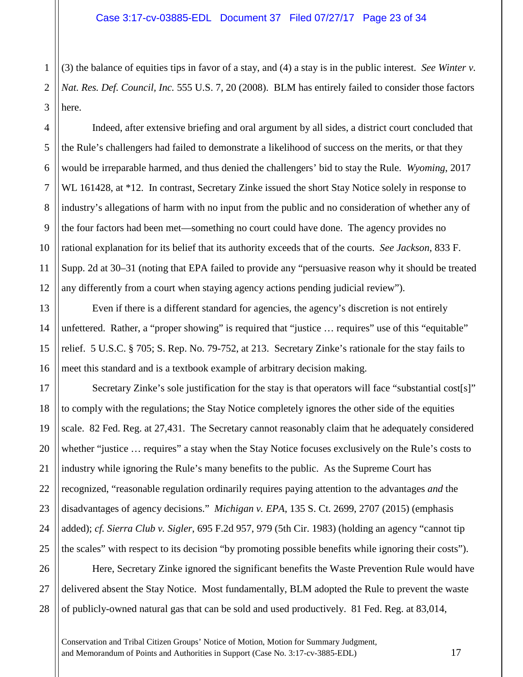1 2 3 (3) the balance of equities tips in favor of a stay, and (4) a stay is in the public interest. *See Winter v. Nat. Res. Def. Council, Inc.* 555 U.S. 7, 20 (2008). BLM has entirely failed to consider those factors here.

4

5

6

7

8

9

10

11

12

13

14

15

16

17

18

19

20

21

22

23

24

25

Indeed, after extensive briefing and oral argument by all sides, a district court concluded that the Rule's challengers had failed to demonstrate a likelihood of success on the merits, or that they would be irreparable harmed, and thus denied the challengers' bid to stay the Rule. *Wyoming*, 2017 WL 161428, at \*12. In contrast, Secretary Zinke issued the short Stay Notice solely in response to industry's allegations of harm with no input from the public and no consideration of whether any of the four factors had been met—something no court could have done. The agency provides no rational explanation for its belief that its authority exceeds that of the courts. *See Jackson*, 833 F. Supp. 2d at 30–31 (noting that EPA failed to provide any "persuasive reason why it should be treated any differently from a court when staying agency actions pending judicial review").

Even if there is a different standard for agencies, the agency's discretion is not entirely unfettered. Rather, a "proper showing" is required that "justice ... requires" use of this "equitable" relief. 5 U.S.C. § 705; S. Rep. No. 79-752, at 213. Secretary Zinke's rationale for the stay fails to meet this standard and is a textbook example of arbitrary decision making.

Secretary Zinke's sole justification for the stay is that operators will face "substantial cost[s]" to comply with the regulations; the Stay Notice completely ignores the other side of the equities scale. 82 Fed. Reg. at 27,431. The Secretary cannot reasonably claim that he adequately considered whether "justice … requires" a stay when the Stay Notice focuses exclusively on the Rule's costs to industry while ignoring the Rule's many benefits to the public. As the Supreme Court has recognized, "reasonable regulation ordinarily requires paying attention to the advantages *and* the disadvantages of agency decisions." *Michigan v. EPA*, 135 S. Ct. 2699, 2707 (2015) (emphasis added); *cf. Sierra Club v. Sigler*, 695 F.2d 957, 979 (5th Cir. 1983) (holding an agency "cannot tip the scales" with respect to its decision "by promoting possible benefits while ignoring their costs").

26 27 28 Here, Secretary Zinke ignored the significant benefits the Waste Prevention Rule would have delivered absent the Stay Notice. Most fundamentally, BLM adopted the Rule to prevent the waste of publicly-owned natural gas that can be sold and used productively. 81 Fed. Reg. at 83,014,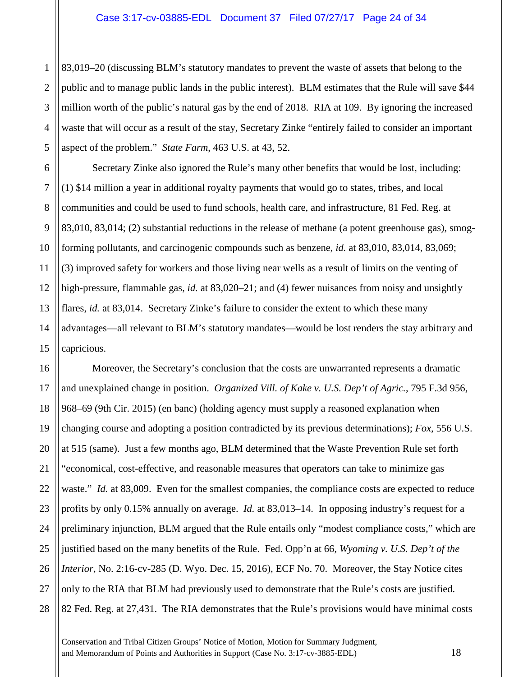1 2 3 4 5 83,019–20 (discussing BLM's statutory mandates to prevent the waste of assets that belong to the public and to manage public lands in the public interest). BLM estimates that the Rule will save \$44 million worth of the public's natural gas by the end of 2018. RIA at 109. By ignoring the increased waste that will occur as a result of the stay, Secretary Zinke "entirely failed to consider an important aspect of the problem." *State Farm*, 463 U.S. at 43, 52.

6

7

8

9

10

11

12

13

14

15

Secretary Zinke also ignored the Rule's many other benefits that would be lost, including: (1) \$14 million a year in additional royalty payments that would go to states, tribes, and local communities and could be used to fund schools, health care, and infrastructure, 81 Fed. Reg. at 83,010, 83,014; (2) substantial reductions in the release of methane (a potent greenhouse gas), smogforming pollutants, and carcinogenic compounds such as benzene, *id.* at 83,010, 83,014, 83,069; (3) improved safety for workers and those living near wells as a result of limits on the venting of high-pressure, flammable gas, *id.* at 83,020–21; and (4) fewer nuisances from noisy and unsightly flares, *id.* at 83,014. Secretary Zinke's failure to consider the extent to which these many advantages—all relevant to BLM's statutory mandates—would be lost renders the stay arbitrary and capricious.

16 17 18 19 20 21 22 23 24 25 26 27 28 Moreover, the Secretary's conclusion that the costs are unwarranted represents a dramatic and unexplained change in position. *Organized Vill. of Kake v. U.S. Dep't of Agric.*, 795 F.3d 956, 968–69 (9th Cir. 2015) (en banc) (holding agency must supply a reasoned explanation when changing course and adopting a position contradicted by its previous determinations); *Fox*, 556 U.S. at 515 (same). Just a few months ago, BLM determined that the Waste Prevention Rule set forth "economical, cost-effective, and reasonable measures that operators can take to minimize gas waste." *Id.* at 83,009. Even for the smallest companies, the compliance costs are expected to reduce profits by only 0.15% annually on average. *Id.* at 83,013–14. In opposing industry's request for a preliminary injunction, BLM argued that the Rule entails only "modest compliance costs," which are justified based on the many benefits of the Rule. Fed. Opp'n at 66, *Wyoming v. U.S. Dep't of the Interior*, No. 2:16-cv-285 (D. Wyo. Dec. 15, 2016), ECF No. 70. Moreover, the Stay Notice cites only to the RIA that BLM had previously used to demonstrate that the Rule's costs are justified. 82 Fed. Reg. at 27,431. The RIA demonstrates that the Rule's provisions would have minimal costs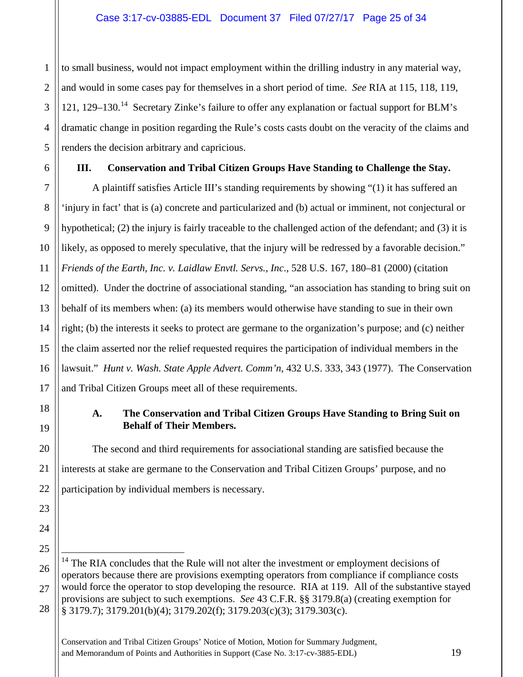to small business, would not impact employment within the drilling industry in any material way, and would in some cases pay for themselves in a short period of time. *See* RIA at 115, 118, 119, 121, 129–130.<sup>14</sup> Secretary Zinke's failure to offer any explanation or factual support for BLM's dramatic change in position regarding the Rule's costs casts doubt on the veracity of the claims and renders the decision arbitrary and capricious.

1

2

3

4

5

6

7

8

9

10

11

12

13

14

15

16

17

18

19

20

21

22

23

24

25

26

27

## **III. Conservation and Tribal Citizen Groups Have Standing to Challenge the Stay.**

A plaintiff satisfies Article III's standing requirements by showing "(1) it has suffered an 'injury in fact' that is (a) concrete and particularized and (b) actual or imminent, not conjectural or hypothetical; (2) the injury is fairly traceable to the challenged action of the defendant; and (3) it is likely, as opposed to merely speculative, that the injury will be redressed by a favorable decision." *Friends of the Earth, Inc. v. Laidlaw Envtl. Servs., Inc*., 528 U.S. 167, 180–81 (2000) (citation omitted). Under the doctrine of associational standing, "an association has standing to bring suit on behalf of its members when: (a) its members would otherwise have standing to sue in their own right; (b) the interests it seeks to protect are germane to the organization's purpose; and (c) neither the claim asserted nor the relief requested requires the participation of individual members in the lawsuit." *Hunt v. Wash. State Apple Advert. Comm'n*, 432 U.S. 333, 343 (1977). The Conservation and Tribal Citizen Groups meet all of these requirements.

## **A. The Conservation and Tribal Citizen Groups Have Standing to Bring Suit on Behalf of Their Members.**

The second and third requirements for associational standing are satisfied because the interests at stake are germane to the Conservation and Tribal Citizen Groups' purpose, and no participation by individual members is necessary.

<span id="page-24-0"></span><sup>28</sup> <sup>14</sup> The RIA concludes that the Rule will not alter the investment or employment decisions of operators because there are provisions exempting operators from compliance if compliance costs would force the operator to stop developing the resource. RIA at 119. All of the substantive stayed provisions are subject to such exemptions. *See* 43 C.F.R. §§ 3179.8(a) (creating exemption for § 3179.7); 3179.201(b)(4); 3179.202(f); 3179.203(c)(3); 3179.303(c).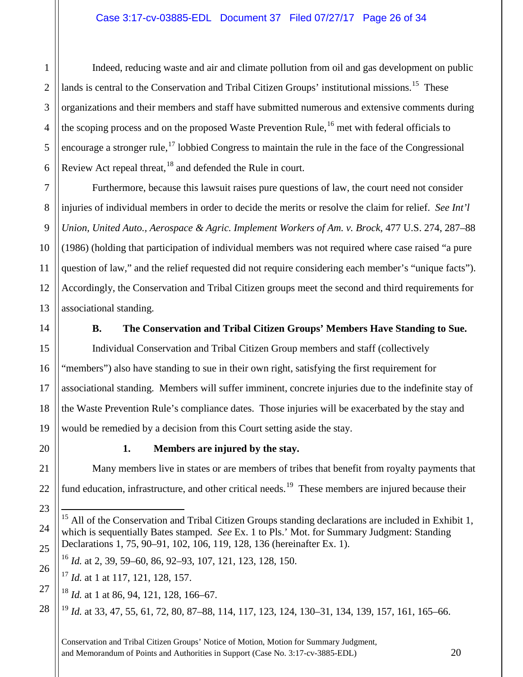Indeed, reducing waste and air and climate pollution from oil and gas development on public lands is central to the Conservation and Tribal Citizen Groups' institutional missions.<sup>15</sup> These organizations and their members and staff have submitted numerous and extensive comments during the scoping process and on the proposed Waste Prevention Rule,  $^{16}$  $^{16}$  $^{16}$  met with federal officials to encourage a stronger rule,<sup>[17](#page-25-2)</sup> lobbied Congress to maintain the rule in the face of the Congressional Review Act repeal threat, <sup>[18](#page-25-3)</sup> and defended the Rule in court.

Furthermore, because this lawsuit raises pure questions of law, the court need not consider injuries of individual members in order to decide the merits or resolve the claim for relief. *See Int'l Union, United Auto., Aerospace & Agric. Implement Workers of Am. v. Brock*, 477 U.S. 274, 287–88 (1986) (holding that participation of individual members was not required where case raised "a pure question of law," and the relief requested did not require considering each member's "unique facts"). Accordingly, the Conservation and Tribal Citizen groups meet the second and third requirements for associational standing.

1

2

3

4

5

6

7

8

9

10

11

12

13

14

15

16

17

18

19

20

21

22

23

<span id="page-25-0"></span>24

25

<span id="page-25-2"></span><span id="page-25-1"></span>26

<span id="page-25-3"></span>27

<span id="page-25-4"></span>28

## **B. The Conservation and Tribal Citizen Groups' Members Have Standing to Sue.**

Individual Conservation and Tribal Citizen Group members and staff (collectively "members") also have standing to sue in their own right, satisfying the first requirement for associational standing. Members will suffer imminent, concrete injuries due to the indefinite stay of the Waste Prevention Rule's compliance dates. Those injuries will be exacerbated by the stay and would be remedied by a decision from this Court setting aside the stay.

## **1. Members are injured by the stay.**

Many members live in states or are members of tribes that benefit from royalty payments that fund education, infrastructure, and other critical needs.<sup>19</sup> These members are injured because their

<sup>18</sup> *Id.* at 1 at 86, 94, 121, 128, 166–67.

<sup>19</sup> *Id.* at 33, 47, 55, 61, 72, 80, 87–88, 114, 117, 123, 124, 130–31, 134, 139, 157, 161, 165–66.

 $15$  All of the Conservation and Tribal Citizen Groups standing declarations are included in Exhibit 1, which is sequentially Bates stamped. *See* Ex. 1 to Pls.' Mot. for Summary Judgment: Standing Declarations 1, 75, 90–91, 102, 106, 119, 128, 136 (hereinafter Ex. 1).

<sup>16</sup> *Id.* at 2, 39, 59–60, 86, 92–93, 107, 121, 123, 128, 150.

<sup>&</sup>lt;sup>17</sup> *Id.* at 1 at 117, 121, 128, 157.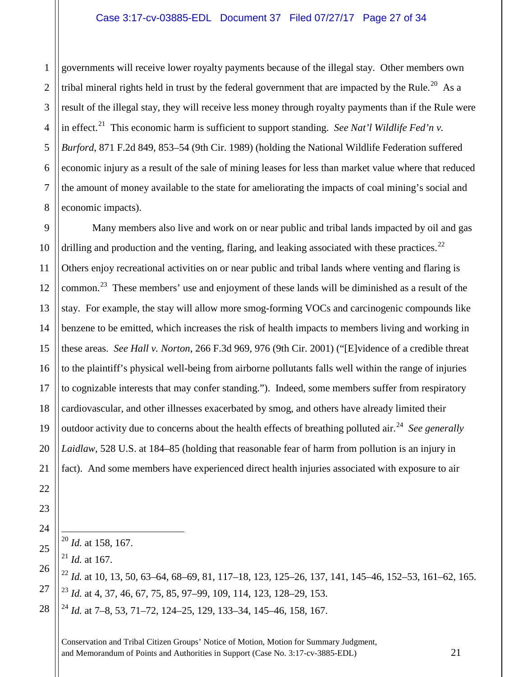#### Case 3:17-cv-03885-EDL Document 37 Filed 07/27/17 Page 27 of 34

2 3 4 5 6 7 8 governments will receive lower royalty payments because of the illegal stay. Other members own tribal mineral rights held in trust by the federal government that are impacted by the Rule.<sup>20</sup> As a result of the illegal stay, they will receive less money through royalty payments than if the Rule were in effect. [21](#page-26-1) This economic harm is sufficient to support standing. *See Nat'l Wildlife Fed'n v. Burford*, 871 F.2d 849, 853–54 (9th Cir. 1989) (holding the National Wildlife Federation suffered economic injury as a result of the sale of mining leases for less than market value where that reduced the amount of money available to the state for ameliorating the impacts of coal mining's social and economic impacts).

9 10 11 12 13 14 15 16 17 18 19 20 21 Many members also live and work on or near public and tribal lands impacted by oil and gas drilling and production and the venting, flaring, and leaking associated with these practices.<sup>22</sup> Others enjoy recreational activities on or near public and tribal lands where venting and flaring is common.<sup>23</sup> These members' use and enjoyment of these lands will be diminished as a result of the stay. For example, the stay will allow more smog-forming VOCs and carcinogenic compounds like benzene to be emitted, which increases the risk of health impacts to members living and working in these areas. *See Hall v. Norton*, 266 F.3d 969, 976 (9th Cir. 2001) ("[E]vidence of a credible threat to the plaintiff's physical well-being from airborne pollutants falls well within the range of injuries to cognizable interests that may confer standing.").Indeed, some members suffer from respiratory cardiovascular, and other illnesses exacerbated by smog, and others have already limited their outdoor activity due to concerns about the health effects of breathing polluted air.<sup>[24](#page-26-4)</sup> *See generally Laidlaw*, 528 U.S. at 184–85 (holding that reasonable fear of harm from pollution is an injury in fact). And some members have experienced direct health injuries associated with exposure to air

20 *Id.* at 158, 167.

 $^{21}$  *Id.* at 167.

22

23

24

<span id="page-26-1"></span><span id="page-26-0"></span>25

<span id="page-26-2"></span>26

<span id="page-26-3"></span>27

<span id="page-26-4"></span>28

1

<sup>22</sup> *Id.* at 10, 13, 50, 63–64, 68–69, 81, 117–18, 123, 125–26, 137, 141, 145–46, 152–53, 161–62, 165. <sup>23</sup> *Id.* at 4, 37, 46, 67, 75, 85, 97–99, 109, 114, 123, 128–29, 153.

<sup>24</sup> *Id.* at 7–8, 53, 71–72, 124–25, 129, 133–34, 145–46, 158, 167.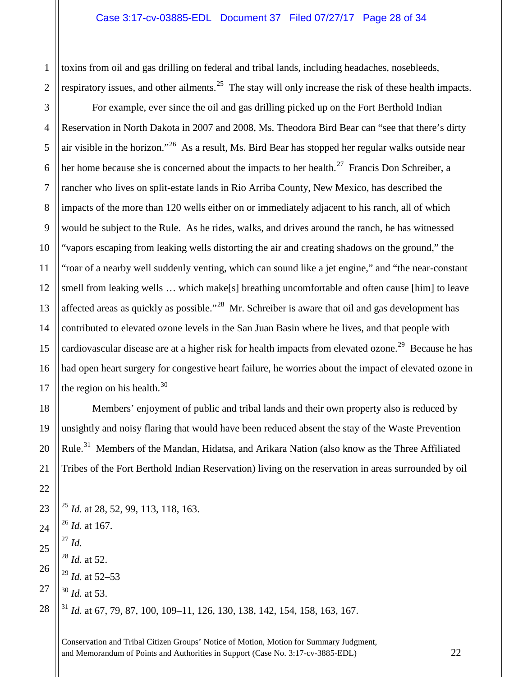toxins from oil and gas drilling on federal and tribal lands, including headaches, nosebleeds, respiratory issues, and other ailments.<sup>[25](#page-27-0)</sup> The stay will only increase the risk of these health impacts.

For example, ever since the oil and gas drilling picked up on the Fort Berthold Indian Reservation in North Dakota in 2007 and 2008, Ms. Theodora Bird Bear can "see that there's dirty air visible in the horizon."[26](#page-27-1) As a result, Ms. Bird Bear has stopped her regular walks outside near her home because she is concerned about the impacts to her health.<sup>27</sup> Francis Don Schreiber, a rancher who lives on split-estate lands in Rio Arriba County, New Mexico, has described the impacts of the more than 120 wells either on or immediately adjacent to his ranch, all of which would be subject to the Rule. As he rides, walks, and drives around the ranch, he has witnessed "vapors escaping from leaking wells distorting the air and creating shadows on the ground," the "roar of a nearby well suddenly venting, which can sound like a jet engine," and "the near-constant smell from leaking wells … which make[s] breathing uncomfortable and often cause [him] to leave affected areas as quickly as possible."[28](#page-27-3) Mr. Schreiber is aware that oil and gas development has contributed to elevated ozone levels in the San Juan Basin where he lives, and that people with cardiovascular disease are at a higher risk for health impacts from elevated ozone.<sup>[29](#page-27-4)</sup> Because he has had open heart surgery for congestive heart failure, he worries about the impact of elevated ozone in the region on his health.

Members' enjoyment of public and tribal lands and their own property also is reduced by unsightly and noisy flaring that would have been reduced absent the stay of the Waste Prevention Rule.<sup>[31](#page-27-6)</sup> Members of the Mandan, Hidatsa, and Arikara Nation (also know as the Three Affiliated Tribes of the Fort Berthold Indian Reservation) living on the reservation in areas surrounded by oil

<span id="page-27-6"></span><span id="page-27-5"></span><span id="page-27-4"></span><span id="page-27-3"></span><span id="page-27-2"></span><span id="page-27-1"></span><span id="page-27-0"></span>

| 23 $\begin{bmatrix} 25 \ 25 \ 26 \ 27 \end{bmatrix}$ $\begin{bmatrix} 25 \ 26 \ 27 \ 28 \ 28 \end{bmatrix}$ $\begin{bmatrix} 26 \ 27 \ 27 \ 28 \ 29 \ 20 \end{bmatrix}$ $\begin{bmatrix} 27 \ 27 \ 28 \ 29 \ 20 \ 20 \ 20 \end{bmatrix}$ $\begin{bmatrix} 27 \ 28 \ 29 \ 20 \ 20 \ 20 \ 21 \end{bmatrix}$ $\begin{bmatrix} 29 \ 20 \ 20 \ 21 \ 20 \ 21 \ $ |
|------------------------------------------------------------------------------------------------------------------------------------------------------------------------------------------------------------------------------------------------------------------------------------------------------------------------------------------------------------|
|                                                                                                                                                                                                                                                                                                                                                            |
|                                                                                                                                                                                                                                                                                                                                                            |
|                                                                                                                                                                                                                                                                                                                                                            |
|                                                                                                                                                                                                                                                                                                                                                            |
|                                                                                                                                                                                                                                                                                                                                                            |
|                                                                                                                                                                                                                                                                                                                                                            |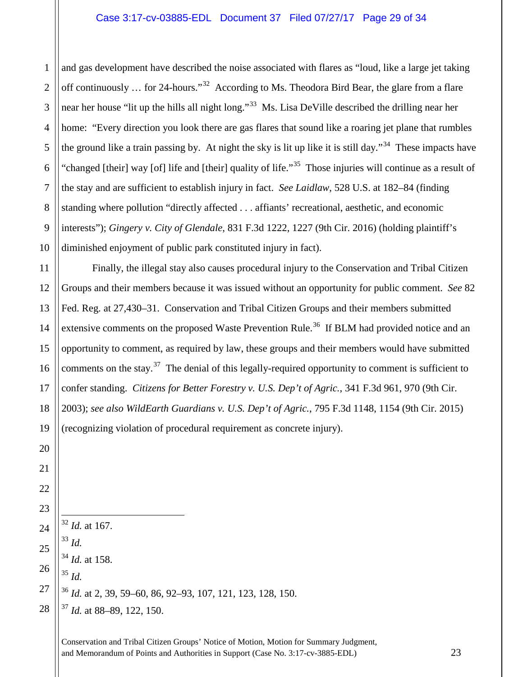and gas development have described the noise associated with flares as "loud, like a large jet taking off continuously ... for 24-hours."<sup>[32](#page-28-0)</sup> According to Ms. Theodora Bird Bear, the glare from a flare near her house "lit up the hills all night long."<sup>33</sup> Ms. Lisa DeVille described the drilling near her home: "Every direction you look there are gas flares that sound like a roaring jet plane that rumbles the ground like a train passing by. At night the sky is lit up like it is still day."[34](#page-28-2) These impacts have "changed [their] way [of] life and [their] quality of life."<sup>35</sup> Those injuries will continue as a result of the stay and are sufficient to establish injury in fact. *See Laidlaw*, 528 U.S. at 182–84 (finding standing where pollution "directly affected . . . affiants' recreational, aesthetic, and economic interests"); *Gingery v. City of Glendale*, 831 F.3d 1222, 1227 (9th Cir. 2016) (holding plaintiff's diminished enjoyment of public park constituted injury in fact).

Finally, the illegal stay also causes procedural injury to the Conservation and Tribal Citizen Groups and their members because it was issued without an opportunity for public comment. *See* 82 Fed. Reg. at 27,430–31. Conservation and Tribal Citizen Groups and their members submitted extensive comments on the proposed Waste Prevention Rule.<sup>36</sup> If BLM had provided notice and an opportunity to comment, as required by law, these groups and their members would have submitted comments on the stay.<sup>[37](#page-28-5)</sup> The denial of this legally-required opportunity to comment is sufficient to confer standing. *Citizens for Better Forestry v. U.S. Dep't of Agric.*, 341 F.3d 961, 970 (9th Cir. 2003); *see also WildEarth Guardians v. U.S. Dep't of Agric.*, 795 F.3d 1148, 1154 (9th Cir. 2015) (recognizing violation of procedural requirement as concrete injury).

<span id="page-28-5"></span><span id="page-28-4"></span><span id="page-28-3"></span><span id="page-28-2"></span><span id="page-28-1"></span><span id="page-28-0"></span> *Id.* at 167. *Id. Id.* at 158. *Id. Id.* at 2, 39, 59–60, 86, 92–93, 107, 121, 123, 128, 150. *Id.* at 88–89, 122, 150.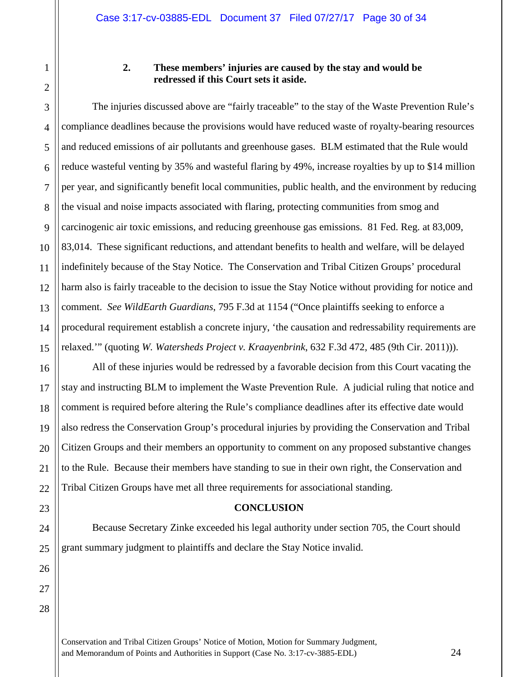1

2

3

4

5

6

#### **2. These members' injuries are caused by the stay and would be redressed if this Court sets it aside.**

The injuries discussed above are "fairly traceable" to the stay of the Waste Prevention Rule's compliance deadlines because the provisions would have reduced waste of royalty-bearing resources and reduced emissions of air pollutants and greenhouse gases. BLM estimated that the Rule would reduce wasteful venting by 35% and wasteful flaring by 49%, increase royalties by up to \$14 million per year, and significantly benefit local communities, public health, and the environment by reducing the visual and noise impacts associated with flaring, protecting communities from smog and carcinogenic air toxic emissions, and reducing greenhouse gas emissions. 81 Fed. Reg. at 83,009, 83,014. These significant reductions, and attendant benefits to health and welfare, will be delayed indefinitely because of the Stay Notice. The Conservation and Tribal Citizen Groups' procedural harm also is fairly traceable to the decision to issue the Stay Notice without providing for notice and comment. *See WildEarth Guardians*, 795 F.3d at 1154 ("Once plaintiffs seeking to enforce a procedural requirement establish a concrete injury, 'the causation and redressability requirements are relaxed.'" (quoting *W. Watersheds Project v. Kraayenbrink*, 632 F.3d 472, 485 (9th Cir. 2011))).

All of these injuries would be redressed by a favorable decision from this Court vacating the stay and instructing BLM to implement the Waste Prevention Rule. A judicial ruling that notice and comment is required before altering the Rule's compliance deadlines after its effective date would also redress the Conservation Group's procedural injuries by providing the Conservation and Tribal Citizen Groups and their members an opportunity to comment on any proposed substantive changes to the Rule. Because their members have standing to sue in their own right, the Conservation and Tribal Citizen Groups have met all three requirements for associational standing.

#### **CONCLUSION**

Because Secretary Zinke exceeded his legal authority under section 705, the Court should grant summary judgment to plaintiffs and declare the Stay Notice invalid.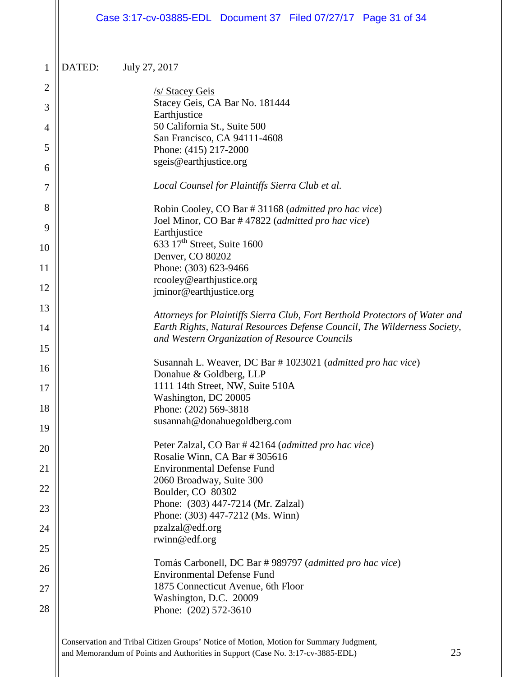|                |        | Case 3:17-cv-03885-EDL Document 37 Filed 07/27/17 Page 31 of 34                                                           |
|----------------|--------|---------------------------------------------------------------------------------------------------------------------------|
| $\mathbf{1}$   | DATED: | July 27, 2017                                                                                                             |
| $\overline{2}$ |        | /s/ Stacey Geis                                                                                                           |
| 3              |        | Stacey Geis, CA Bar No. 181444                                                                                            |
| 4              |        | Earthjustice<br>50 California St., Suite 500                                                                              |
| 5              |        | San Francisco, CA 94111-4608<br>Phone: (415) 217-2000                                                                     |
| 6              |        | sgeis@earthjustice.org                                                                                                    |
| 7              |        | Local Counsel for Plaintiffs Sierra Club et al.                                                                           |
| 8              |        | Robin Cooley, CO Bar # 31168 (admitted pro hac vice)                                                                      |
| 9              |        | Joel Minor, CO Bar #47822 (admitted pro hac vice)<br>Earthjustice                                                         |
| 10             |        | 633 17 <sup>th</sup> Street, Suite 1600<br>Denver, CO 80202                                                               |
| 11             |        | Phone: (303) 623-9466                                                                                                     |
| 12             |        | rcooley@earthjustice.org<br>jminor@earthjustice.org                                                                       |
| 13             |        | Attorneys for Plaintiffs Sierra Club, Fort Berthold Protectors of Water and                                               |
| 14             |        | Earth Rights, Natural Resources Defense Council, The Wilderness Society,<br>and Western Organization of Resource Councils |
| 15             |        |                                                                                                                           |
| 16             |        | Susannah L. Weaver, DC Bar # 1023021 (admitted pro hac vice)<br>Donahue & Goldberg, LLP                                   |
| 17             |        | 1111 14th Street, NW, Suite 510A                                                                                          |
| 18             |        | Washington, DC 20005<br>Phone: (202) 569-3818                                                                             |
| 19             |        | susannah@donahuegoldberg.com                                                                                              |
| 20             |        | Peter Zalzal, CO Bar #42164 (admitted pro hac vice)<br>Rosalie Winn, CA Bar # 305616                                      |
| 21             |        | <b>Environmental Defense Fund</b>                                                                                         |
| 22             |        | 2060 Broadway, Suite 300<br>Boulder, CO 80302                                                                             |
| 23             |        | Phone: (303) 447-7214 (Mr. Zalzal)                                                                                        |
| 24             |        | Phone: (303) 447-7212 (Ms. Winn)<br>pzalzal@edf.org                                                                       |
| 25             |        | rwinn@edf.org                                                                                                             |
| 26             |        | Tomás Carbonell, DC Bar # 989797 (admitted pro hac vice)<br><b>Environmental Defense Fund</b>                             |
| 27             |        | 1875 Connecticut Avenue, 6th Floor                                                                                        |
| 28             |        | Washington, D.C. 20009<br>Phone: (202) 572-3610                                                                           |
|                |        |                                                                                                                           |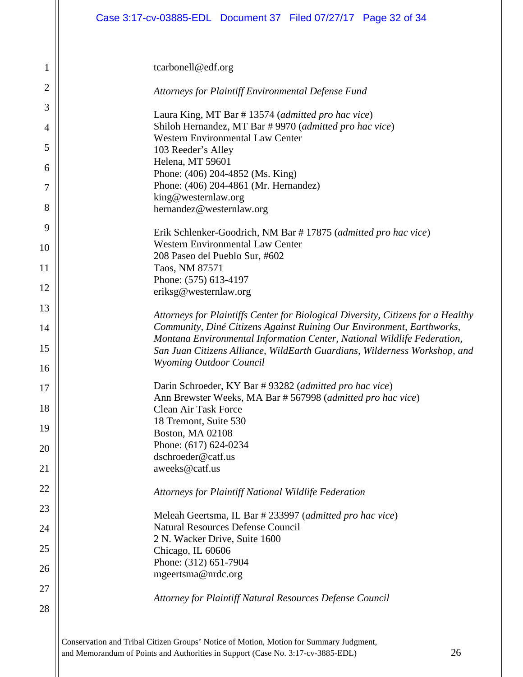| $\mathbf 1$ | tcarbonell@edf.org                                                                                                                                        |
|-------------|-----------------------------------------------------------------------------------------------------------------------------------------------------------|
| 2           | Attorneys for Plaintiff Environmental Defense Fund                                                                                                        |
| 3           | Laura King, MT Bar #13574 (admitted pro hac vice)                                                                                                         |
| 4           | Shiloh Hernandez, MT Bar # 9970 (admitted pro hac vice)<br><b>Western Environmental Law Center</b>                                                        |
| 5           | 103 Reeder's Alley                                                                                                                                        |
| 6           | Helena, MT 59601<br>Phone: (406) 204-4852 (Ms. King)                                                                                                      |
| 7           | Phone: (406) 204-4861 (Mr. Hernandez)                                                                                                                     |
|             | king@westernlaw.org                                                                                                                                       |
| 8           | hernandez@westernlaw.org                                                                                                                                  |
| 9           | Erik Schlenker-Goodrich, NM Bar # 17875 (admitted pro hac vice)                                                                                           |
| 10          | <b>Western Environmental Law Center</b>                                                                                                                   |
| 11          | 208 Paseo del Pueblo Sur, #602<br>Taos, NM 87571                                                                                                          |
|             | Phone: (575) 613-4197                                                                                                                                     |
| 12          | eriksg@westernlaw.org                                                                                                                                     |
| 13          |                                                                                                                                                           |
| 14          | Attorneys for Plaintiffs Center for Biological Diversity, Citizens for a Healthy<br>Community, Diné Citizens Against Ruining Our Environment, Earthworks, |
|             | Montana Environmental Information Center, National Wildlife Federation,                                                                                   |
| 15          | San Juan Citizens Alliance, WildEarth Guardians, Wilderness Workshop, and                                                                                 |
| 16          | <b>Wyoming Outdoor Council</b>                                                                                                                            |
| 17          | Darin Schroeder, KY Bar #93282 (admitted pro hac vice)                                                                                                    |
|             | Ann Brewster Weeks, MA Bar # 567998 (admitted pro hac vice)                                                                                               |
| 18          | <b>Clean Air Task Force</b>                                                                                                                               |
| 19          | 18 Tremont, Suite 530<br>Boston, MA 02108                                                                                                                 |
| 20          | Phone: (617) 624-0234                                                                                                                                     |
|             | dschroeder@catf.us                                                                                                                                        |
| 21          | aweeks@catf.us                                                                                                                                            |
| 22          | Attorneys for Plaintiff National Wildlife Federation                                                                                                      |
| 23          |                                                                                                                                                           |
| 24          | Meleah Geertsma, IL Bar # 233997 (admitted pro hac vice)<br><b>Natural Resources Defense Council</b>                                                      |
|             | 2 N. Wacker Drive, Suite 1600                                                                                                                             |
| 25          | Chicago, IL 60606                                                                                                                                         |
| 26          | Phone: (312) 651-7904                                                                                                                                     |
|             | mgeertsma@nrdc.org                                                                                                                                        |
| 27          | Attorney for Plaintiff Natural Resources Defense Council                                                                                                  |
| 28          |                                                                                                                                                           |
|             |                                                                                                                                                           |
|             | Conservation and Tribal Citizen Groups' Notice of Motion, Motion for Summary Judgment,                                                                    |

and Memorandum of Points and Authorities in Support (Case No. 3:17-cv-3885-EDL) 26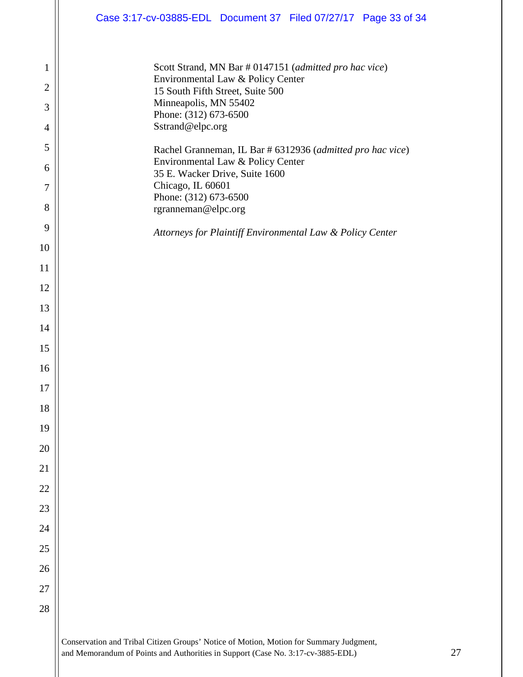|                     | Case 3:17-cv-03885-EDL Document 37 Filed 07/27/17 Page 33 of 34                                 |
|---------------------|-------------------------------------------------------------------------------------------------|
|                     |                                                                                                 |
| 1                   | Scott Strand, MN Bar # 0147151 (admitted pro hac vice)<br>Environmental Law & Policy Center     |
| $\overline{c}$      | 15 South Fifth Street, Suite 500<br>Minneapolis, MN 55402                                       |
| 3                   | Phone: (312) 673-6500<br>Sstrand@elpc.org                                                       |
| $\overline{4}$<br>5 |                                                                                                 |
| 6                   | Rachel Granneman, IL Bar # 6312936 (admitted pro hac vice)<br>Environmental Law & Policy Center |
| 7                   | 35 E. Wacker Drive, Suite 1600<br>Chicago, IL 60601                                             |
| 8                   | Phone: (312) 673-6500<br>rgranneman@elpc.org                                                    |
| 9                   |                                                                                                 |
| 10                  | Attorneys for Plaintiff Environmental Law & Policy Center                                       |
| 11                  |                                                                                                 |
| 12                  |                                                                                                 |
| 13                  |                                                                                                 |
| 14                  |                                                                                                 |
| 15                  |                                                                                                 |
| 16                  |                                                                                                 |
| 17                  |                                                                                                 |
| 18                  |                                                                                                 |
| 19                  |                                                                                                 |
| 20                  |                                                                                                 |
| 21                  |                                                                                                 |
| 22                  |                                                                                                 |
| 23                  |                                                                                                 |
| 24                  |                                                                                                 |
| $25\,$              |                                                                                                 |
| 26<br>27            |                                                                                                 |
| $28\,$              |                                                                                                 |
|                     |                                                                                                 |
|                     | Conservation and Tribal Citizen Groups' Notice of Motion, Motion for Summary Judgment,          |

and Memorandum of Points and Authorities in Support (Case No. 3:17-cv-3885-EDL) 27